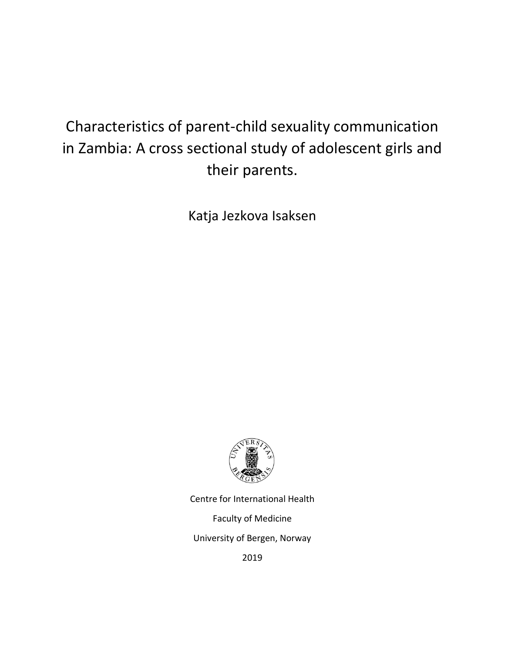# Characteristics of parent-child sexuality communication in Zambia: A cross sectional study of adolescent girls and their parents.

Katja Jezkova Isaksen



Centre for International Health Faculty of Medicine University of Bergen, Norway 2019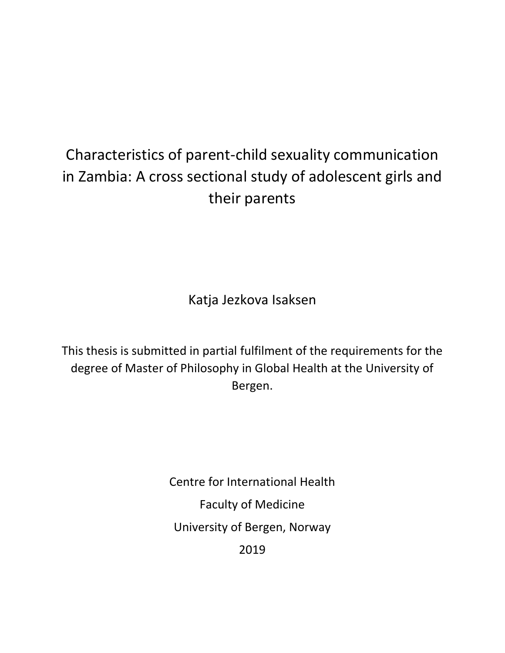# Characteristics of parent-child sexuality communication in Zambia: A cross sectional study of adolescent girls and their parents

Katja Jezkova Isaksen

This thesis is submitted in partial fulfilment of the requirements for the degree of Master of Philosophy in Global Health at the University of Bergen.

> Centre for International Health Faculty of Medicine University of Bergen, Norway 2019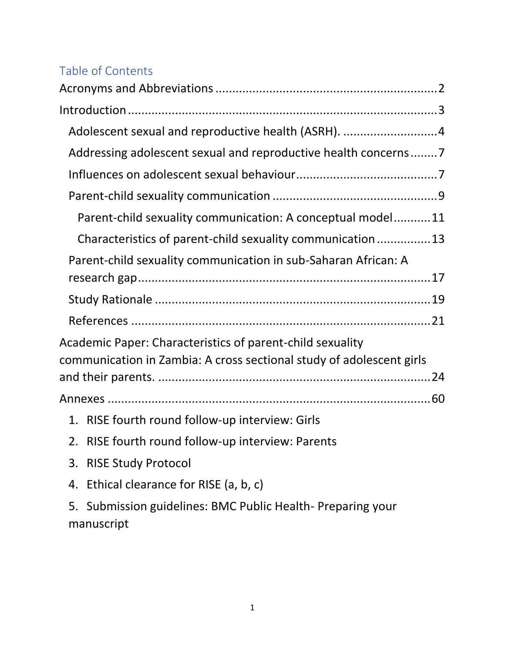# Table of Contents

| Adolescent sexual and reproductive health (ASRH). 4                  |
|----------------------------------------------------------------------|
| Addressing adolescent sexual and reproductive health concerns7       |
|                                                                      |
|                                                                      |
| Parent-child sexuality communication: A conceptual model11           |
| Characteristics of parent-child sexuality communication13            |
| Parent-child sexuality communication in sub-Saharan African: A       |
|                                                                      |
|                                                                      |
|                                                                      |
| Academic Paper: Characteristics of parent-child sexuality            |
| communication in Zambia: A cross sectional study of adolescent girls |
|                                                                      |
|                                                                      |
| A BICE Could be a called the contract of the                         |

- 1. [RISE fourth round follow-up interview: Girls](#page-62-1)
- 2. [RISE fourth round follow-up interview: Parents](#page-62-2)
- 3. [RISE Study Protocol](#page-62-3)
- 4. [Ethical clearance for RISE \(a, b, c\)](#page-62-4)

5. [Submission guidelines: BMC Public Health-](#page-62-5) Preparing your [manuscript](#page-62-5)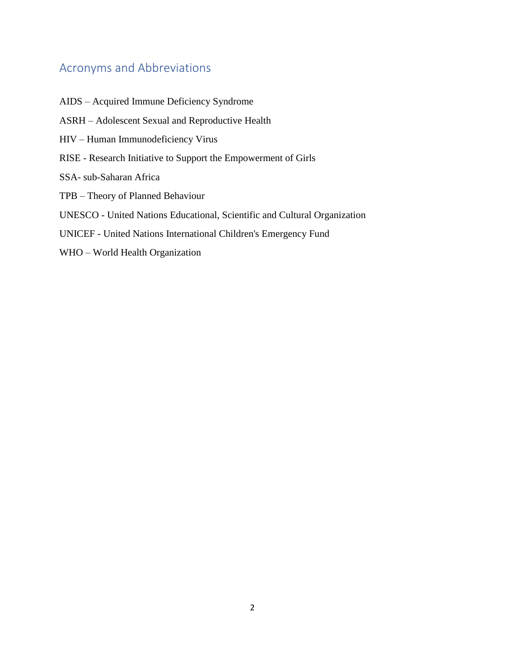# <span id="page-4-0"></span>Acronyms and Abbreviations

<span id="page-4-1"></span>AIDS – Acquired Immune Deficiency Syndrome ASRH – Adolescent Sexual and Reproductive Health HIV – Human Immunodeficiency Virus RISE - Research Initiative to Support the Empowerment of Girls SSA- sub-Saharan Africa TPB – Theory of Planned Behaviour UNESCO - United Nations Educational, Scientific and Cultural Organization UNICEF - United Nations International Children's Emergency Fund WHO – World Health Organization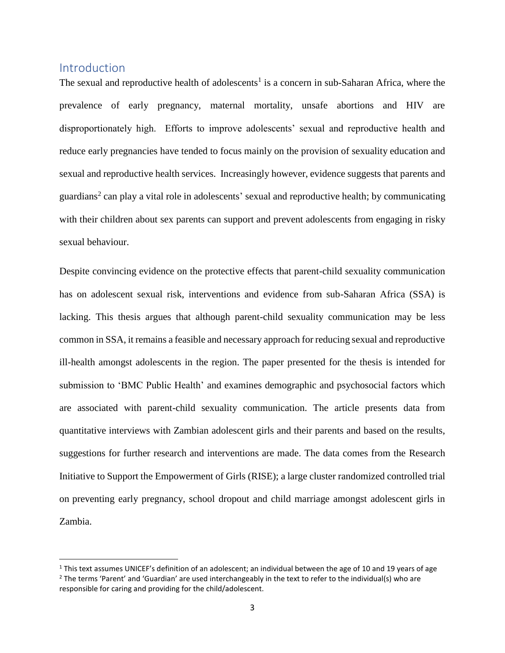# **Introduction**

 $\overline{a}$ 

The sexual and reproductive health of adolescents<sup>1</sup> is a concern in sub-Saharan Africa, where the prevalence of early pregnancy, maternal mortality, unsafe abortions and HIV are disproportionately high. Efforts to improve adolescents' sexual and reproductive health and reduce early pregnancies have tended to focus mainly on the provision of sexuality education and sexual and reproductive health services. Increasingly however, evidence suggests that parents and guardians<sup>2</sup> can play a vital role in adolescents' sexual and reproductive health; by communicating with their children about sex parents can support and prevent adolescents from engaging in risky sexual behaviour.

Despite convincing evidence on the protective effects that parent-child sexuality communication has on adolescent sexual risk, interventions and evidence from sub-Saharan Africa (SSA) is lacking. This thesis argues that although parent-child sexuality communication may be less common in SSA, it remains a feasible and necessary approach for reducing sexual and reproductive ill-health amongst adolescents in the region. The paper presented for the thesis is intended for submission to 'BMC Public Health' and examines demographic and psychosocial factors which are associated with parent-child sexuality communication. The article presents data from quantitative interviews with Zambian adolescent girls and their parents and based on the results, suggestions for further research and interventions are made. The data comes from the Research Initiative to Support the Empowerment of Girls (RISE); a large cluster randomized controlled trial on preventing early pregnancy, school dropout and child marriage amongst adolescent girls in Zambia.

 $1$  This text assumes UNICEF's definition of an adolescent; an individual between the age of 10 and 19 years of age  $2$  The terms 'Parent' and 'Guardian' are used interchangeably in the text to refer to the individual(s) who are responsible for caring and providing for the child/adolescent.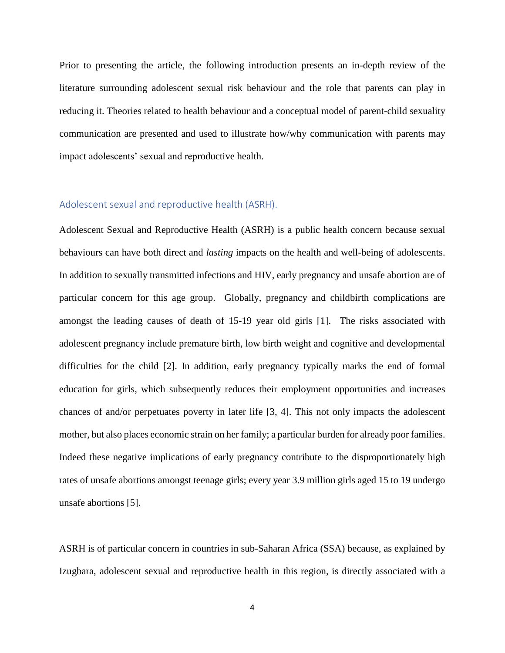Prior to presenting the article, the following introduction presents an in-depth review of the literature surrounding adolescent sexual risk behaviour and the role that parents can play in reducing it. Theories related to health behaviour and a conceptual model of parent-child sexuality communication are presented and used to illustrate how/why communication with parents may impact adolescents' sexual and reproductive health.

## <span id="page-6-0"></span>Adolescent sexual and reproductive health (ASRH).

Adolescent Sexual and Reproductive Health (ASRH) is a public health concern because sexual behaviours can have both direct and *lasting* impacts on the health and well-being of adolescents. In addition to sexually transmitted infections and HIV, early pregnancy and unsafe abortion are of particular concern for this age group. Globally, pregnancy and childbirth complications are amongst the leading causes of death of 15-19 year old girls [1]. The risks associated with adolescent pregnancy include premature birth, low birth weight and cognitive and developmental difficulties for the child [2]. In addition, early pregnancy typically marks the end of formal education for girls, which subsequently reduces their employment opportunities and increases chances of and/or perpetuates poverty in later life [3, 4]. This not only impacts the adolescent mother, but also places economic strain on her family; a particular burden for already poor families. Indeed these negative implications of early pregnancy contribute to the disproportionately high rates of unsafe abortions amongst teenage girls; every year 3.9 million girls aged 15 to 19 undergo unsafe abortions [5].

ASRH is of particular concern in countries in sub-Saharan Africa (SSA) because, as explained by Izugbara, adolescent sexual and reproductive health in this region, is directly associated with a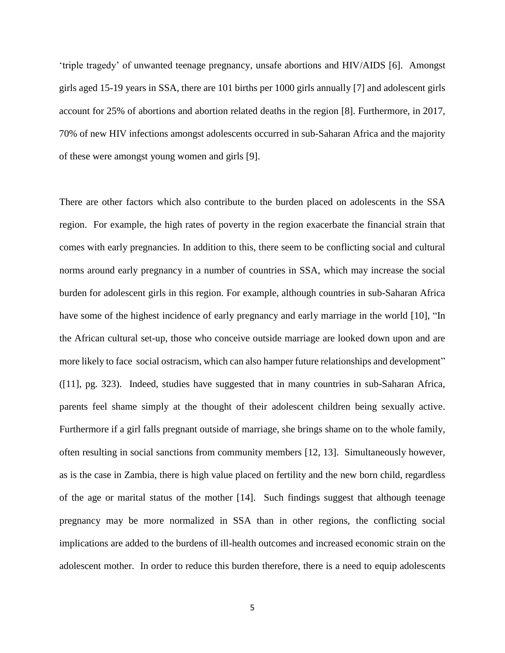'triple tragedy' of unwanted teenage pregnancy, unsafe abortions and HIV/AIDS [6]. Amongst girls aged 15-19 years in SSA, there are 101 births per 1000 girls annually [7] and adolescent girls account for 25% of abortions and abortion related deaths in the region [8]. Furthermore, in 2017, 70% of new HIV infections amongst adolescents occurred in sub-Saharan Africa and the majority of these were amongst young women and girls [9].

There are other factors which also contribute to the burden placed on adolescents in the SSA region. For example, the high rates of poverty in the region exacerbate the financial strain that comes with early pregnancies. In addition to this, there seem to be conflicting social and cultural norms around early pregnancy in a number of countries in SSA, which may increase the social burden for adolescent girls in this region. For example, although countries in sub-Saharan Africa have some of the highest incidence of early pregnancy and early marriage in the world [10], "In the African cultural set-up, those who conceive outside marriage are looked down upon and are more likely to face social ostracism, which can also hamper future relationships and development" ([11], pg. 323). Indeed, studies have suggested that in many countries in sub-Saharan Africa, parents feel shame simply at the thought of their adolescent children being sexually active. Furthermore if a girl falls pregnant outside of marriage, she brings shame on to the whole family, often resulting in social sanctions from community members [12, 13]. Simultaneously however, as is the case in Zambia, there is high value placed on fertility and the new born child, regardless of the age or marital status of the mother [14]. Such findings suggest that although teenage pregnancy may be more normalized in SSA than in other regions, the conflicting social implications are added to the burdens of ill-health outcomes and increased economic strain on the adolescent mother. In order to reduce this burden therefore, there is a need to equip adolescents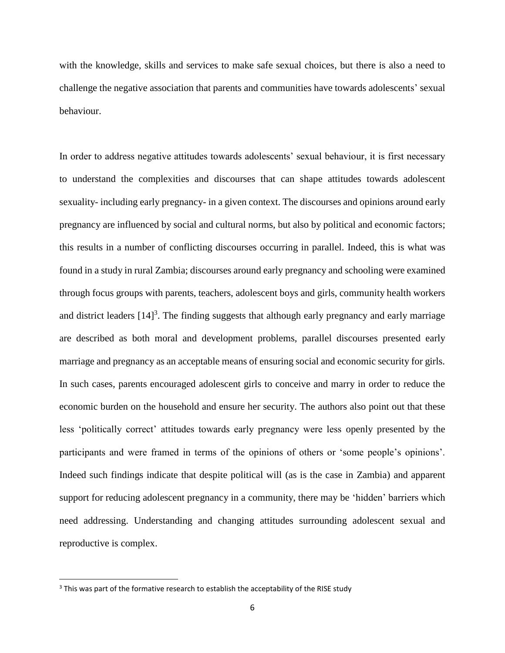with the knowledge, skills and services to make safe sexual choices, but there is also a need to challenge the negative association that parents and communities have towards adolescents' sexual behaviour.

In order to address negative attitudes towards adolescents' sexual behaviour, it is first necessary to understand the complexities and discourses that can shape attitudes towards adolescent sexuality- including early pregnancy- in a given context. The discourses and opinions around early pregnancy are influenced by social and cultural norms, but also by political and economic factors; this results in a number of conflicting discourses occurring in parallel. Indeed, this is what was found in a study in rural Zambia; discourses around early pregnancy and schooling were examined through focus groups with parents, teachers, adolescent boys and girls, community health workers and district leaders  $[14]$ <sup>3</sup>. The finding suggests that although early pregnancy and early marriage are described as both moral and development problems, parallel discourses presented early marriage and pregnancy as an acceptable means of ensuring social and economic security for girls. In such cases, parents encouraged adolescent girls to conceive and marry in order to reduce the economic burden on the household and ensure her security. The authors also point out that these less 'politically correct' attitudes towards early pregnancy were less openly presented by the participants and were framed in terms of the opinions of others or 'some people's opinions'. Indeed such findings indicate that despite political will (as is the case in Zambia) and apparent support for reducing adolescent pregnancy in a community, there may be 'hidden' barriers which need addressing. Understanding and changing attitudes surrounding adolescent sexual and reproductive is complex.

 $\overline{\phantom{a}}$ 

<sup>&</sup>lt;sup>3</sup> This was part of the formative research to establish the acceptability of the RISE study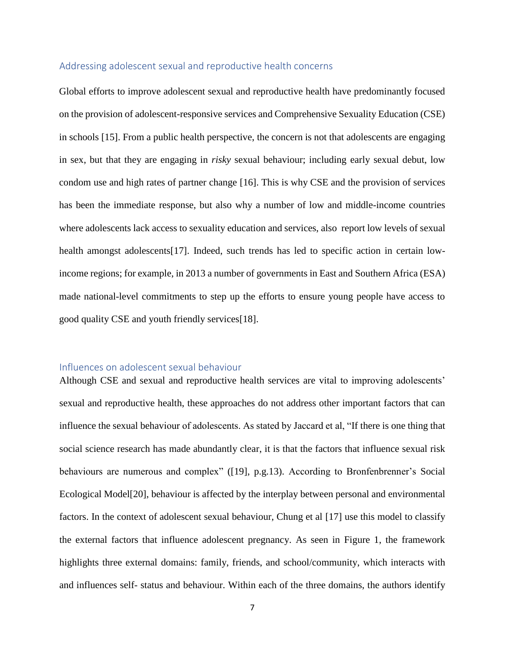#### <span id="page-9-0"></span>Addressing adolescent sexual and reproductive health concerns

Global efforts to improve adolescent sexual and reproductive health have predominantly focused on the provision of adolescent-responsive services and Comprehensive Sexuality Education (CSE) in schools [15]. From a public health perspective, the concern is not that adolescents are engaging in sex, but that they are engaging in *risky* sexual behaviour; including early sexual debut, low condom use and high rates of partner change [16]. This is why CSE and the provision of services has been the immediate response, but also why a number of low and middle-income countries where adolescents lack access to sexuality education and services, also report low levels of sexual health amongst adolescents<sup>[17]</sup>. Indeed, such trends has led to specific action in certain lowincome regions; for example, in 2013 a number of governments in East and Southern Africa (ESA) made national-level commitments to step up the efforts to ensure young people have access to good quality CSE and youth friendly services[18].

#### <span id="page-9-1"></span>Influences on adolescent sexual behaviour

Although CSE and sexual and reproductive health services are vital to improving adolescents' sexual and reproductive health, these approaches do not address other important factors that can influence the sexual behaviour of adolescents. As stated by Jaccard et al, "If there is one thing that social science research has made abundantly clear, it is that the factors that influence sexual risk behaviours are numerous and complex" ([19], p.g.13). According to Bronfenbrenner's Social Ecological Model[20], behaviour is affected by the interplay between personal and environmental factors. In the context of adolescent sexual behaviour, Chung et al [17] use this model to classify the external factors that influence adolescent pregnancy. As seen in Figure 1, the framework highlights three external domains: family, friends, and school/community, which interacts with and influences self- status and behaviour. Within each of the three domains, the authors identify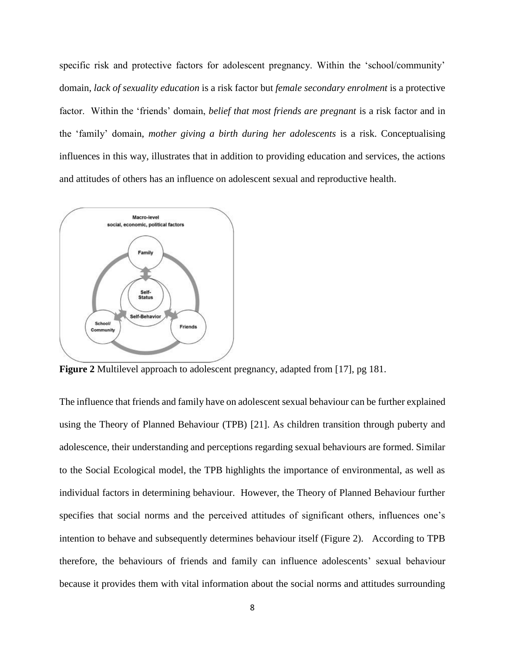specific risk and protective factors for adolescent pregnancy. Within the 'school/community' domain, *lack of sexuality education* is a risk factor but *female secondary enrolment* is a protective factor. Within the 'friends' domain, *belief that most friends are pregnant* is a risk factor and in the 'family' domain, *mother giving a birth during her adolescents* is a risk. Conceptualising influences in this way, illustrates that in addition to providing education and services, the actions and attitudes of others has an influence on adolescent sexual and reproductive health.



**Figure 2** Multilevel approach to adolescent pregnancy, adapted from [17], pg 181.

The influence that friends and family have on adolescent sexual behaviour can be further explained using the Theory of Planned Behaviour (TPB) [21]. As children transition through puberty and adolescence, their understanding and perceptions regarding sexual behaviours are formed. Similar to the Social Ecological model, the TPB highlights the importance of environmental, as well as individual factors in determining behaviour. However, the Theory of Planned Behaviour further specifies that social norms and the perceived attitudes of significant others, influences one's intention to behave and subsequently determines behaviour itself (Figure 2). According to TPB therefore, the behaviours of friends and family can influence adolescents' sexual behaviour because it provides them with vital information about the social norms and attitudes surrounding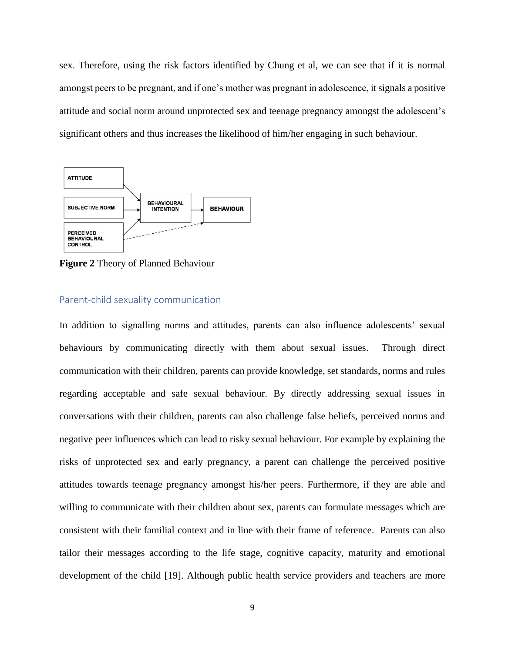sex. Therefore, using the risk factors identified by Chung et al, we can see that if it is normal amongst peers to be pregnant, and if one's mother was pregnant in adolescence, it signals a positive attitude and social norm around unprotected sex and teenage pregnancy amongst the adolescent's significant others and thus increases the likelihood of him/her engaging in such behaviour.



**Figure 2** Theory of Planned Behaviour

#### <span id="page-11-0"></span>Parent-child sexuality communication

In addition to signalling norms and attitudes, parents can also influence adolescents' sexual behaviours by communicating directly with them about sexual issues. Through direct communication with their children, parents can provide knowledge, set standards, norms and rules regarding acceptable and safe sexual behaviour. By directly addressing sexual issues in conversations with their children, parents can also challenge false beliefs, perceived norms and negative peer influences which can lead to risky sexual behaviour. For example by explaining the risks of unprotected sex and early pregnancy, a parent can challenge the perceived positive attitudes towards teenage pregnancy amongst his/her peers. Furthermore, if they are able and willing to communicate with their children about sex, parents can formulate messages which are consistent with their familial context and in line with their frame of reference. Parents can also tailor their messages according to the life stage, cognitive capacity, maturity and emotional development of the child [19]. Although public health service providers and teachers are more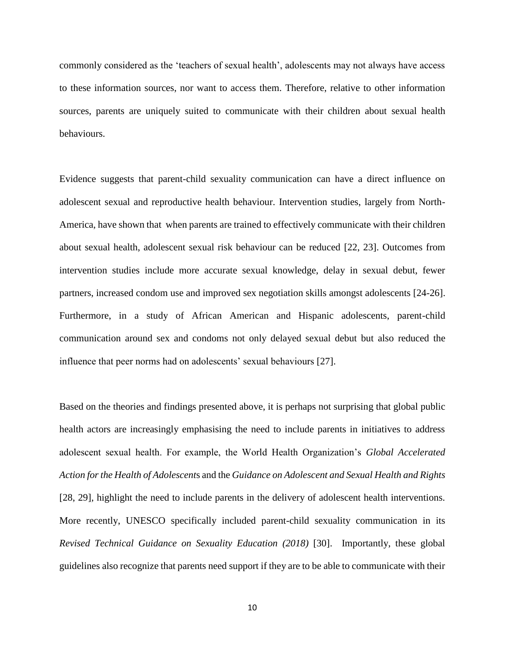commonly considered as the 'teachers of sexual health', adolescents may not always have access to these information sources, nor want to access them. Therefore, relative to other information sources, parents are uniquely suited to communicate with their children about sexual health behaviours.

Evidence suggests that parent-child sexuality communication can have a direct influence on adolescent sexual and reproductive health behaviour. Intervention studies, largely from North-America, have shown that when parents are trained to effectively communicate with their children about sexual health, adolescent sexual risk behaviour can be reduced [22, 23]. Outcomes from intervention studies include more accurate sexual knowledge, delay in sexual debut, fewer partners, increased condom use and improved sex negotiation skills amongst adolescents [24-26]. Furthermore, in a study of African American and Hispanic adolescents, parent-child communication around sex and condoms not only delayed sexual debut but also reduced the influence that peer norms had on adolescents' sexual behaviours [27].

Based on the theories and findings presented above, it is perhaps not surprising that global public health actors are increasingly emphasising the need to include parents in initiatives to address adolescent sexual health. For example, the World Health Organization's *Global Accelerated Action for the Health of Adolescent*s and the *Guidance on Adolescent and Sexual Health and Rights* [28, 29]*,* highlight the need to include parents in the delivery of adolescent health interventions. More recently, UNESCO specifically included parent-child sexuality communication in its *Revised Technical Guidance on Sexuality Education (2018)* [30]. Importantly, these global guidelines also recognize that parents need support if they are to be able to communicate with their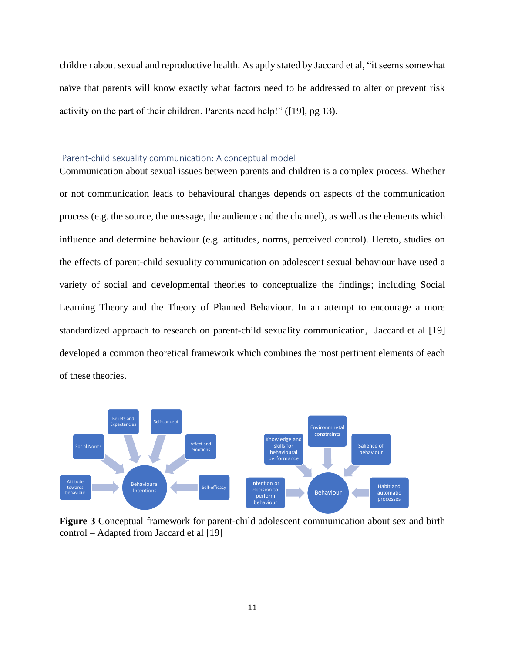children about sexual and reproductive health. As aptly stated by Jaccard et al, "it seems somewhat naïve that parents will know exactly what factors need to be addressed to alter or prevent risk activity on the part of their children. Parents need help!" ([19], pg 13).

#### <span id="page-13-0"></span>Parent-child sexuality communication: A conceptual model

Communication about sexual issues between parents and children is a complex process. Whether or not communication leads to behavioural changes depends on aspects of the communication process (e.g. the source, the message, the audience and the channel), as well as the elements which influence and determine behaviour (e.g. attitudes, norms, perceived control). Hereto, studies on the effects of parent-child sexuality communication on adolescent sexual behaviour have used a variety of social and developmental theories to conceptualize the findings; including Social Learning Theory and the Theory of Planned Behaviour. In an attempt to encourage a more standardized approach to research on parent-child sexuality communication, Jaccard et al [19] developed a common theoretical framework which combines the most pertinent elements of each of these theories.



**Figure 3** Conceptual framework for parent-child adolescent communication about sex and birth control – Adapted from Jaccard et al [19]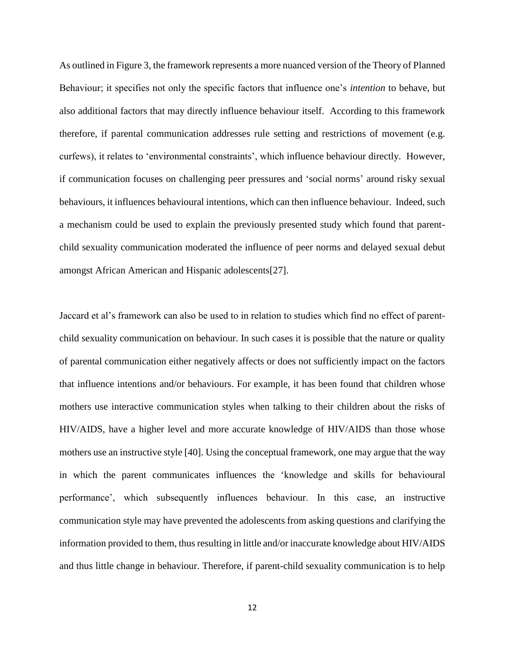As outlined in Figure 3, the framework represents a more nuanced version of the Theory of Planned Behaviour; it specifies not only the specific factors that influence one's *intention* to behave, but also additional factors that may directly influence behaviour itself. According to this framework therefore, if parental communication addresses rule setting and restrictions of movement (e.g. curfews), it relates to 'environmental constraints', which influence behaviour directly. However, if communication focuses on challenging peer pressures and 'social norms' around risky sexual behaviours, it influences behavioural intentions, which can then influence behaviour. Indeed, such a mechanism could be used to explain the previously presented study which found that parentchild sexuality communication moderated the influence of peer norms and delayed sexual debut amongst African American and Hispanic adolescents[27].

Jaccard et al's framework can also be used to in relation to studies which find no effect of parentchild sexuality communication on behaviour. In such cases it is possible that the nature or quality of parental communication either negatively affects or does not sufficiently impact on the factors that influence intentions and/or behaviours. For example, it has been found that children whose mothers use interactive communication styles when talking to their children about the risks of HIV/AIDS, have a higher level and more accurate knowledge of HIV/AIDS than those whose mothers use an instructive style [40]. Using the conceptual framework, one may argue that the way in which the parent communicates influences the 'knowledge and skills for behavioural performance', which subsequently influences behaviour. In this case, an instructive communication style may have prevented the adolescents from asking questions and clarifying the information provided to them, thus resulting in little and/or inaccurate knowledge about HIV/AIDS and thus little change in behaviour. Therefore, if parent-child sexuality communication is to help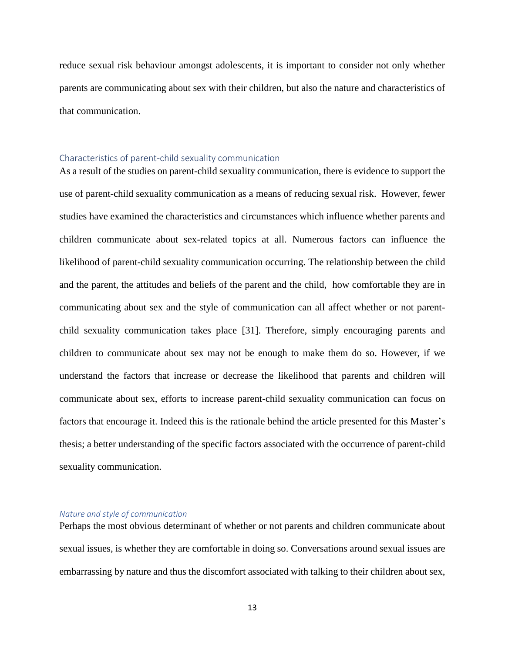reduce sexual risk behaviour amongst adolescents, it is important to consider not only whether parents are communicating about sex with their children, but also the nature and characteristics of that communication.

#### <span id="page-15-0"></span>Characteristics of parent-child sexuality communication

As a result of the studies on parent-child sexuality communication, there is evidence to support the use of parent-child sexuality communication as a means of reducing sexual risk. However, fewer studies have examined the characteristics and circumstances which influence whether parents and children communicate about sex-related topics at all. Numerous factors can influence the likelihood of parent-child sexuality communication occurring. The relationship between the child and the parent, the attitudes and beliefs of the parent and the child, how comfortable they are in communicating about sex and the style of communication can all affect whether or not parentchild sexuality communication takes place [31]. Therefore, simply encouraging parents and children to communicate about sex may not be enough to make them do so. However, if we understand the factors that increase or decrease the likelihood that parents and children will communicate about sex, efforts to increase parent-child sexuality communication can focus on factors that encourage it. Indeed this is the rationale behind the article presented for this Master's thesis; a better understanding of the specific factors associated with the occurrence of parent-child sexuality communication.

#### *Nature and style of communication*

Perhaps the most obvious determinant of whether or not parents and children communicate about sexual issues, is whether they are comfortable in doing so. Conversations around sexual issues are embarrassing by nature and thus the discomfort associated with talking to their children about sex,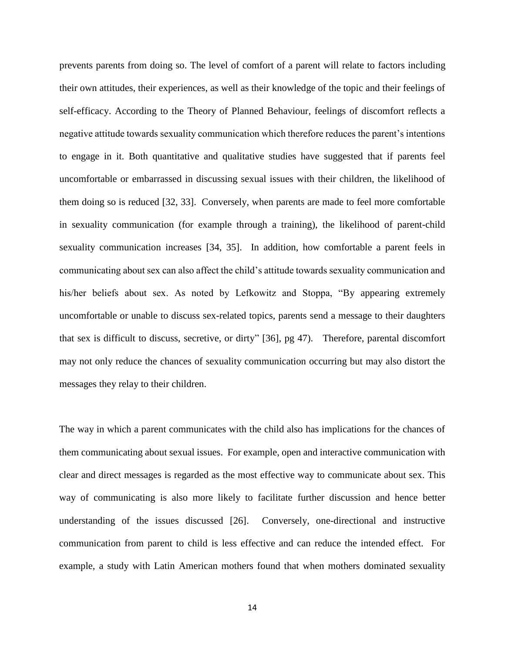prevents parents from doing so. The level of comfort of a parent will relate to factors including their own attitudes, their experiences, as well as their knowledge of the topic and their feelings of self-efficacy. According to the Theory of Planned Behaviour, feelings of discomfort reflects a negative attitude towards sexuality communication which therefore reduces the parent's intentions to engage in it. Both quantitative and qualitative studies have suggested that if parents feel uncomfortable or embarrassed in discussing sexual issues with their children, the likelihood of them doing so is reduced [32, 33]. Conversely, when parents are made to feel more comfortable in sexuality communication (for example through a training), the likelihood of parent-child sexuality communication increases [34, 35]. In addition, how comfortable a parent feels in communicating about sex can also affect the child's attitude towards sexuality communication and his/her beliefs about sex. As noted by Lefkowitz and Stoppa, "By appearing extremely uncomfortable or unable to discuss sex-related topics, parents send a message to their daughters that sex is difficult to discuss, secretive, or dirty" [36], pg 47). Therefore, parental discomfort may not only reduce the chances of sexuality communication occurring but may also distort the messages they relay to their children.

The way in which a parent communicates with the child also has implications for the chances of them communicating about sexual issues. For example, open and interactive communication with clear and direct messages is regarded as the most effective way to communicate about sex. This way of communicating is also more likely to facilitate further discussion and hence better understanding of the issues discussed [26]. Conversely, one-directional and instructive communication from parent to child is less effective and can reduce the intended effect. For example, a study with Latin American mothers found that when mothers dominated sexuality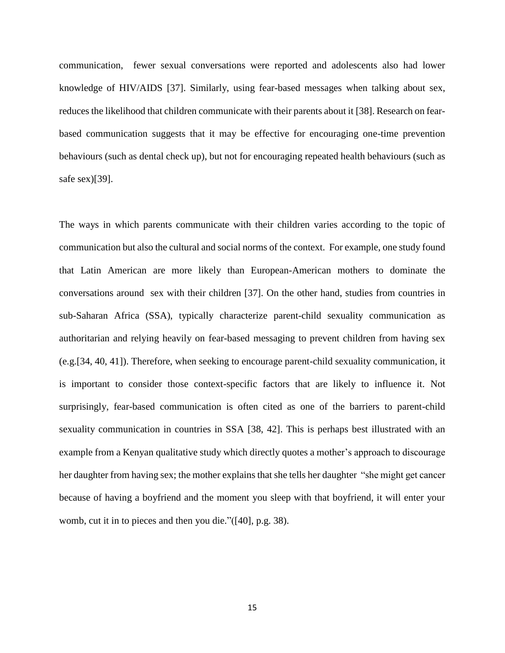communication, fewer sexual conversations were reported and adolescents also had lower knowledge of HIV/AIDS [37]. Similarly, using fear-based messages when talking about sex, reduces the likelihood that children communicate with their parents about it [38]. Research on fearbased communication suggests that it may be effective for encouraging one-time prevention behaviours (such as dental check up), but not for encouraging repeated health behaviours (such as safe sex)[39].

The ways in which parents communicate with their children varies according to the topic of communication but also the cultural and social norms of the context. For example, one study found that Latin American are more likely than European-American mothers to dominate the conversations around sex with their children [37]. On the other hand, studies from countries in sub-Saharan Africa (SSA), typically characterize parent-child sexuality communication as authoritarian and relying heavily on fear-based messaging to prevent children from having sex (e.g.[34, 40, 41]). Therefore, when seeking to encourage parent-child sexuality communication, it is important to consider those context-specific factors that are likely to influence it. Not surprisingly, fear-based communication is often cited as one of the barriers to parent-child sexuality communication in countries in SSA [38, 42]. This is perhaps best illustrated with an example from a Kenyan qualitative study which directly quotes a mother's approach to discourage her daughter from having sex; the mother explains that she tells her daughter "she might get cancer because of having a boyfriend and the moment you sleep with that boyfriend, it will enter your womb, cut it in to pieces and then you die."([40], p.g. 38).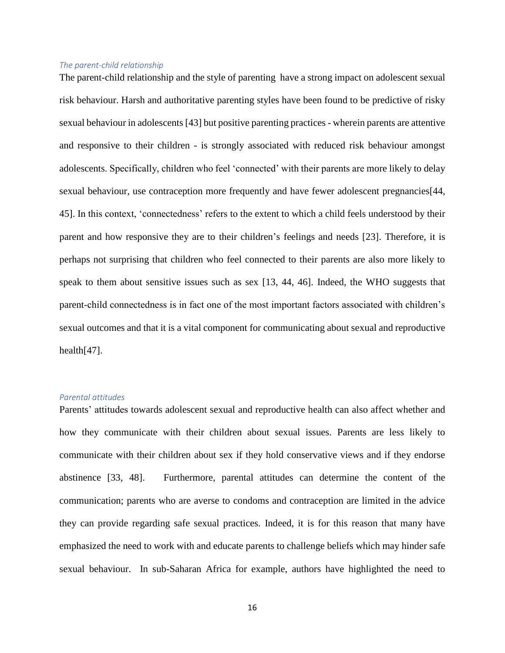#### *The parent-child relationship*

The parent-child relationship and the style of parenting have a strong impact on adolescent sexual risk behaviour. Harsh and authoritative parenting styles have been found to be predictive of risky sexual behaviour in adolescents [43] but positive parenting practices - wherein parents are attentive and responsive to their children - is strongly associated with reduced risk behaviour amongst adolescents. Specifically, children who feel 'connected' with their parents are more likely to delay sexual behaviour, use contraception more frequently and have fewer adolescent pregnancies[44, 45]. In this context, 'connectedness' refers to the extent to which a child feels understood by their parent and how responsive they are to their children's feelings and needs [23]. Therefore, it is perhaps not surprising that children who feel connected to their parents are also more likely to speak to them about sensitive issues such as sex [13, 44, 46]. Indeed, the WHO suggests that parent-child connectedness is in fact one of the most important factors associated with children's sexual outcomes and that it is a vital component for communicating about sexual and reproductive health[47].

#### *Parental attitudes*

Parents' attitudes towards adolescent sexual and reproductive health can also affect whether and how they communicate with their children about sexual issues. Parents are less likely to communicate with their children about sex if they hold conservative views and if they endorse abstinence [33, 48]. Furthermore, parental attitudes can determine the content of the communication; parents who are averse to condoms and contraception are limited in the advice they can provide regarding safe sexual practices. Indeed, it is for this reason that many have emphasized the need to work with and educate parents to challenge beliefs which may hinder safe sexual behaviour. In sub-Saharan Africa for example, authors have highlighted the need to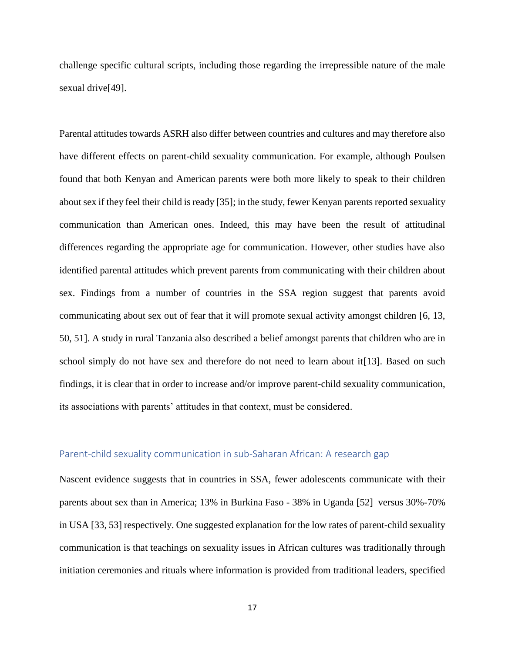challenge specific cultural scripts, including those regarding the irrepressible nature of the male sexual drive<sup>[49]</sup>.

Parental attitudes towards ASRH also differ between countries and cultures and may therefore also have different effects on parent-child sexuality communication. For example, although Poulsen found that both Kenyan and American parents were both more likely to speak to their children about sex if they feel their child is ready [35]; in the study, fewer Kenyan parents reported sexuality communication than American ones. Indeed, this may have been the result of attitudinal differences regarding the appropriate age for communication. However, other studies have also identified parental attitudes which prevent parents from communicating with their children about sex. Findings from a number of countries in the SSA region suggest that parents avoid communicating about sex out of fear that it will promote sexual activity amongst children [6, 13, 50, 51]. A study in rural Tanzania also described a belief amongst parents that children who are in school simply do not have sex and therefore do not need to learn about it [13]. Based on such findings, it is clear that in order to increase and/or improve parent-child sexuality communication, its associations with parents' attitudes in that context, must be considered.

# <span id="page-19-0"></span>Parent-child sexuality communication in sub-Saharan African: A research gap

Nascent evidence suggests that in countries in SSA, fewer adolescents communicate with their parents about sex than in America; 13% in Burkina Faso - 38% in Uganda [52] versus 30%-70% in USA [33, 53] respectively. One suggested explanation for the low rates of parent-child sexuality communication is that teachings on sexuality issues in African cultures was traditionally through initiation ceremonies and rituals where information is provided from traditional leaders, specified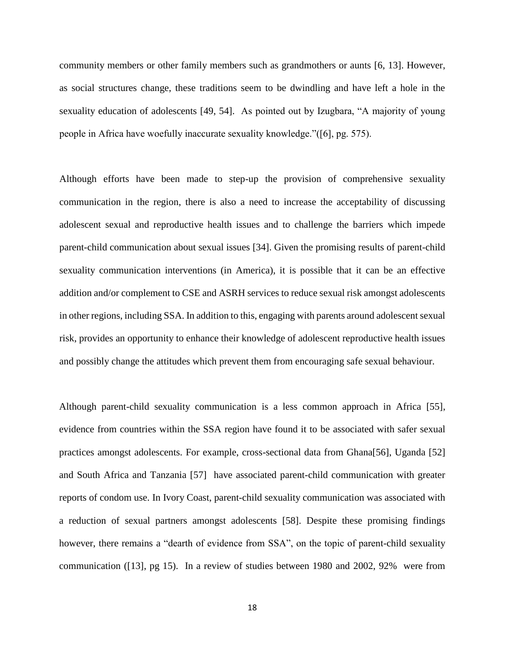community members or other family members such as grandmothers or aunts [6, 13]. However, as social structures change, these traditions seem to be dwindling and have left a hole in the sexuality education of adolescents [49, 54]. As pointed out by Izugbara, "A majority of young people in Africa have woefully inaccurate sexuality knowledge."([6], pg. 575).

Although efforts have been made to step-up the provision of comprehensive sexuality communication in the region, there is also a need to increase the acceptability of discussing adolescent sexual and reproductive health issues and to challenge the barriers which impede parent-child communication about sexual issues [34]. Given the promising results of parent-child sexuality communication interventions (in America), it is possible that it can be an effective addition and/or complement to CSE and ASRH services to reduce sexual risk amongst adolescents in other regions, including SSA. In addition to this, engaging with parents around adolescent sexual risk, provides an opportunity to enhance their knowledge of adolescent reproductive health issues and possibly change the attitudes which prevent them from encouraging safe sexual behaviour.

Although parent-child sexuality communication is a less common approach in Africa [55], evidence from countries within the SSA region have found it to be associated with safer sexual practices amongst adolescents. For example, cross-sectional data from Ghana[56], Uganda [52] and South Africa and Tanzania [57] have associated parent-child communication with greater reports of condom use. In Ivory Coast, parent-child sexuality communication was associated with a reduction of sexual partners amongst adolescents [58]. Despite these promising findings however, there remains a "dearth of evidence from SSA", on the topic of parent-child sexuality communication ([13], pg 15). In a review of studies between 1980 and 2002, 92% were from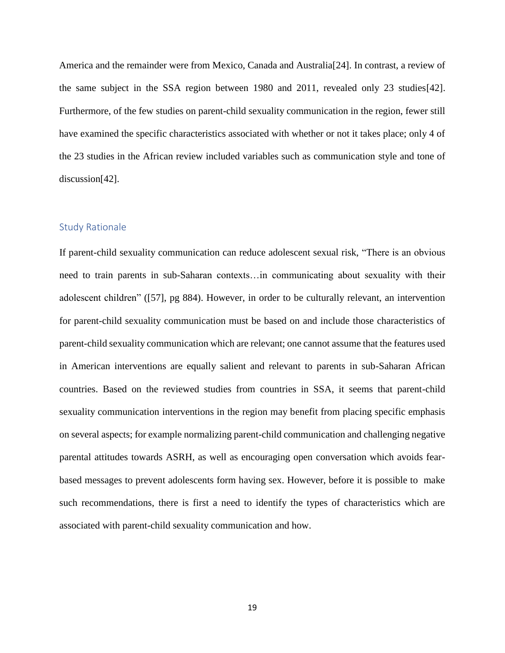America and the remainder were from Mexico, Canada and Australia[24]. In contrast, a review of the same subject in the SSA region between 1980 and 2011, revealed only 23 studies[42]. Furthermore, of the few studies on parent-child sexuality communication in the region, fewer still have examined the specific characteristics associated with whether or not it takes place; only 4 of the 23 studies in the African review included variables such as communication style and tone of discussion[42].

## <span id="page-21-0"></span>Study Rationale

If parent-child sexuality communication can reduce adolescent sexual risk, "There is an obvious need to train parents in sub-Saharan contexts…in communicating about sexuality with their adolescent children" ([57], pg 884). However, in order to be culturally relevant, an intervention for parent-child sexuality communication must be based on and include those characteristics of parent-child sexuality communication which are relevant; one cannot assume that the features used in American interventions are equally salient and relevant to parents in sub-Saharan African countries. Based on the reviewed studies from countries in SSA, it seems that parent-child sexuality communication interventions in the region may benefit from placing specific emphasis on several aspects; for example normalizing parent-child communication and challenging negative parental attitudes towards ASRH, as well as encouraging open conversation which avoids fearbased messages to prevent adolescents form having sex. However, before it is possible to make such recommendations, there is first a need to identify the types of characteristics which are associated with parent-child sexuality communication and how.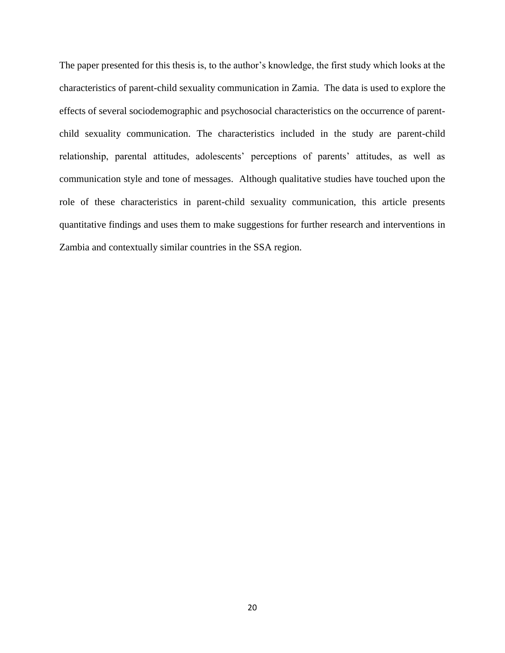The paper presented for this thesis is, to the author's knowledge, the first study which looks at the characteristics of parent-child sexuality communication in Zamia. The data is used to explore the effects of several sociodemographic and psychosocial characteristics on the occurrence of parentchild sexuality communication. The characteristics included in the study are parent-child relationship, parental attitudes, adolescents' perceptions of parents' attitudes, as well as communication style and tone of messages. Although qualitative studies have touched upon the role of these characteristics in parent-child sexuality communication, this article presents quantitative findings and uses them to make suggestions for further research and interventions in Zambia and contextually similar countries in the SSA region.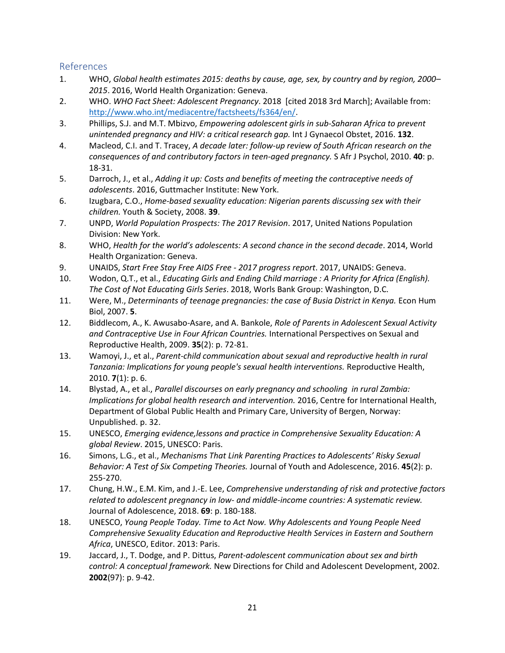# <span id="page-23-0"></span>References

- 1. WHO, *Global health estimates 2015: deaths by cause, age, sex, by country and by region, 2000– 2015*. 2016, World Health Organization: Geneva.
- 2. WHO. *WHO Fact Sheet: Adolescent Pregnancy*. 2018 [cited 2018 3rd March]; Available from: [http://www.who.int/mediacentre/factsheets/fs364/en/.](http://www.who.int/mediacentre/factsheets/fs364/en/)
- 3. Phillips, S.J. and M.T. Mbizvo, *Empowering adolescent girls in sub-Saharan Africa to prevent unintended pregnancy and HIV: a critical research gap.* Int J Gynaecol Obstet, 2016. **132**.
- 4. Macleod, C.I. and T. Tracey, *A decade later: follow-up review of South African research on the consequences of and contributory factors in teen-aged pregnancy.* S Afr J Psychol, 2010. **40**: p. 18-31.
- 5. Darroch, J., et al., *Adding it up: Costs and benefits of meeting the contraceptive needs of adolescents*. 2016, Guttmacher Institute: New York.
- 6. Izugbara, C.O., *Home-based sexuality education: Nigerian parents discussing sex with their children.* Youth & Society, 2008. **39**.
- 7. UNPD, *World Population Prospects: The 2017 Revision*. 2017, United Nations Population Division: New York.
- 8. WHO, *Health for the world's adolescents: A second chance in the second decade*. 2014, World Health Organization: Geneva.
- 9. UNAIDS, *Start Free Stay Free AIDS Free - 2017 progress report*. 2017, UNAIDS: Geneva.
- 10. Wodon, Q.T., et al., *Educating Girls and Ending Child marriage : A Priority for Africa (English). The Cost of Not Educating Girls Series*. 2018, Worls Bank Group: Washington, D.C.
- 11. Were, M., *Determinants of teenage pregnancies: the case of Busia District in Kenya.* Econ Hum Biol, 2007. **5**.
- 12. Biddlecom, A., K. Awusabo-Asare, and A. Bankole, *Role of Parents in Adolescent Sexual Activity and Contraceptive Use in Four African Countries.* International Perspectives on Sexual and Reproductive Health, 2009. **35**(2): p. 72-81.
- 13. Wamoyi, J., et al., *Parent-child communication about sexual and reproductive health in rural Tanzania: Implications for young people's sexual health interventions.* Reproductive Health, 2010. **7**(1): p. 6.
- 14. Blystad, A., et al., *Parallel discourses on early pregnancy and schooling in rural Zambia: Implications for global health research and intervention.* 2016, Centre for International Health, Department of Global Public Health and Primary Care, University of Bergen, Norway: Unpublished. p. 32.
- 15. UNESCO, *Emerging evidence,lessons and practice in Comprehensive Sexuality Education: A global Review*. 2015, UNESCO: Paris.
- 16. Simons, L.G., et al., *Mechanisms That Link Parenting Practices to Adolescents' Risky Sexual Behavior: A Test of Six Competing Theories.* Journal of Youth and Adolescence, 2016. **45**(2): p. 255-270.
- 17. Chung, H.W., E.M. Kim, and J.-E. Lee, *Comprehensive understanding of risk and protective factors related to adolescent pregnancy in low- and middle-income countries: A systematic review.* Journal of Adolescence, 2018. **69**: p. 180-188.
- 18. UNESCO, *Young People Today. Time to Act Now. Why Adolescents and Young People Need Comprehensive Sexuality Education and Reproductive Health Services in Eastern and Southern Africa*, UNESCO, Editor. 2013: Paris.
- 19. Jaccard, J., T. Dodge, and P. Dittus, *Parent-adolescent communication about sex and birth control: A conceptual framework.* New Directions for Child and Adolescent Development, 2002. **2002**(97): p. 9-42.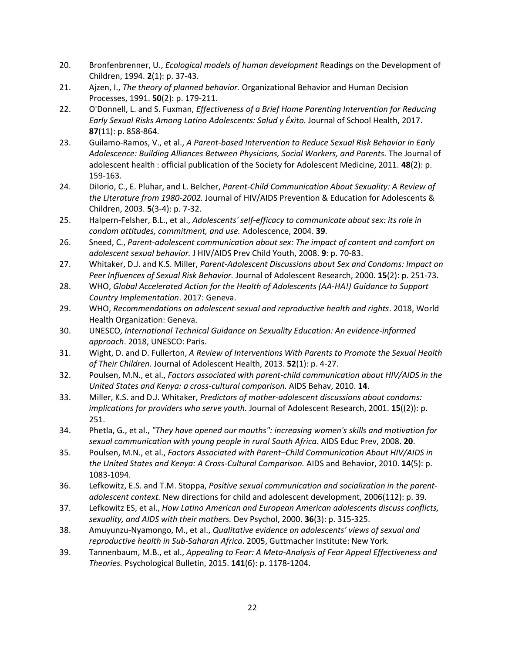- 20. Bronfenbrenner, U., *Ecological models of human development* Readings on the Development of Children, 1994. **2**(1): p. 37-43.
- 21. Ajzen, I., *The theory of planned behavior.* Organizational Behavior and Human Decision Processes, 1991. **50**(2): p. 179-211.
- 22. O'Donnell, L. and S. Fuxman, *Effectiveness of a Brief Home Parenting Intervention for Reducing Early Sexual Risks Among Latino Adolescents: Salud y Éxito.* Journal of School Health, 2017. **87**(11): p. 858-864.
- 23. Guilamo-Ramos, V., et al., *A Parent-based Intervention to Reduce Sexual Risk Behavior in Early Adolescence: Building Alliances Between Physicians, Social Workers, and Parents.* The Journal of adolescent health : official publication of the Society for Adolescent Medicine, 2011. **48**(2): p. 159-163.
- 24. DiIorio, C., E. Pluhar, and L. Belcher, *Parent-Child Communication About Sexuality: A Review of the Literature from 1980-2002.* Journal of HIV/AIDS Prevention & Education for Adolescents & Children, 2003. **5**(3-4): p. 7-32.
- 25. Halpern-Felsher, B.L., et al., *Adolescents' self-efficacy to communicate about sex: its role in condom attitudes, commitment, and use.* Adolescence, 2004. **39**.
- 26. Sneed, C., *Parent-adolescent communication about sex: The impact of content and comfort on adolescent sexual behavior.* J HIV/AIDS Prev Child Youth, 2008. **9**: p. 70-83.
- 27. Whitaker, D.J. and K.S. Miller, *Parent-Adolescent Discussions about Sex and Condoms: Impact on Peer Influences of Sexual Risk Behavior.* Journal of Adolescent Research, 2000. **15**(2): p. 251-73.
- 28. WHO, *Global Accelerated Action for the Health of Adolescents (AA-HA!) Guidance to Support Country Implementation*. 2017: Geneva.
- 29. WHO, *Recommendations on adolescent sexual and reproductive health and rights*. 2018, World Health Organization: Geneva.
- 30. UNESCO, *International Technical Guidance on Sexuality Education: An evidence-informed approach*. 2018, UNESCO: Paris.
- 31. Wight, D. and D. Fullerton, *A Review of Interventions With Parents to Promote the Sexual Health of Their Children.* Journal of Adolescent Health, 2013. **52**(1): p. 4-27.
- 32. Poulsen, M.N., et al., *Factors associated with parent-child communication about HIV/AIDS in the United States and Kenya: a cross-cultural comparison.* AIDS Behav, 2010. **14**.
- 33. Miller, K.S. and D.J. Whitaker, *Predictors of mother-adolescent discussions about condoms: implications for providers who serve youth.* Journal of Adolescent Research, 2001. **15**((2)): p. 251.
- 34. Phetla, G., et al., *"They have opened our mouths": increasing women's skills and motivation for sexual communication with young people in rural South Africa.* AIDS Educ Prev, 2008. **20**.
- 35. Poulsen, M.N., et al., *Factors Associated with Parent–Child Communication About HIV/AIDS in the United States and Kenya: A Cross-Cultural Comparison.* AIDS and Behavior, 2010. **14**(5): p. 1083-1094.
- 36. Lefkowitz, E.S. and T.M. Stoppa, *Positive sexual communication and socialization in the parentadolescent context.* New directions for child and adolescent development, 2006(112): p. 39.
- 37. Lefkowitz ES, et al., *How Latino American and European American adolescents discuss conflicts, sexuality, and AIDS with their mothers.* Dev Psychol, 2000. **36**(3): p. 315-325.
- 38. Amuyunzu-Nyamongo, M., et al., *Qualitative evidence on adolescents' views of sexual and reproductive health in Sub-Saharan Africa*. 2005, Guttmacher Institute: New York.
- 39. Tannenbaum, M.B., et al., *Appealing to Fear: A Meta-Analysis of Fear Appeal Effectiveness and Theories.* Psychological Bulletin, 2015. **141**(6): p. 1178-1204.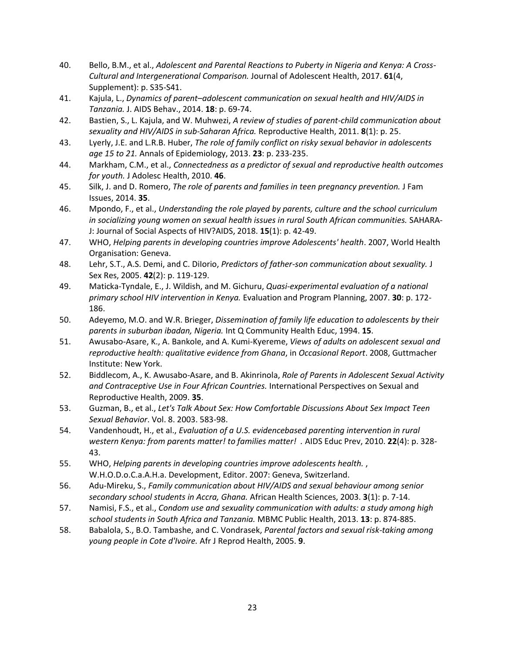- 40. Bello, B.M., et al., *Adolescent and Parental Reactions to Puberty in Nigeria and Kenya: A Cross-Cultural and Intergenerational Comparison.* Journal of Adolescent Health, 2017. **61**(4, Supplement): p. S35-S41.
- 41. Kajula, L., *Dynamics of parent–adolescent communication on sexual health and HIV/AIDS in Tanzania.* J. AIDS Behav., 2014. **18**: p. 69-74.
- 42. Bastien, S., L. Kajula, and W. Muhwezi, *A review of studies of parent-child communication about sexuality and HIV/AIDS in sub-Saharan Africa.* Reproductive Health, 2011. **8**(1): p. 25.
- 43. Lyerly, J.E. and L.R.B. Huber, *The role of family conflict on risky sexual behavior in adolescents age 15 to 21.* Annals of Epidemiology, 2013. **23**: p. 233-235.
- 44. Markham, C.M., et al., *Connectedness as a predictor of sexual and reproductive health outcomes for youth.* J Adolesc Health, 2010. **46**.
- 45. Silk, J. and D. Romero, *The role of parents and families in teen pregnancy prevention.* J Fam Issues, 2014. **35**.
- 46. Mpondo, F., et al., *Understanding the role played by parents, culture and the school curriculum in socializing young women on sexual health issues in rural South African communities.* SAHARA-J: Journal of Social Aspects of HIV?AIDS, 2018. **15**(1): p. 42-49.
- 47. WHO, *Helping parents in developing countries improve Adolescents' health*. 2007, World Health Organisation: Geneva.
- 48. Lehr, S.T., A.S. Demi, and C. DiIorio, *Predictors of father-son communication about sexuality.* J Sex Res, 2005. **42**(2): p. 119-129.
- 49. Maticka-Tyndale, E., J. Wildish, and M. Gichuru, *Quasi-experimental evaluation of a national primary school HIV intervention in Kenya.* Evaluation and Program Planning, 2007. **30**: p. 172- 186.
- 50. Adeyemo, M.O. and W.R. Brieger, *Dissemination of family life education to adolescents by their parents in suburban ibadan, Nigeria.* Int Q Community Health Educ, 1994. **15**.
- 51. Awusabo-Asare, K., A. Bankole, and A. Kumi-Kyereme, *Views of adults on adolescent sexual and reproductive health: qualitative evidence from Ghana*, in *Occasional Report*. 2008, Guttmacher Institute: New York.
- 52. Biddlecom, A., K. Awusabo-Asare, and B. Akinrinola, *Role of Parents in Adolescent Sexual Activity and Contraceptive Use in Four African Countries.* International Perspectives on Sexual and Reproductive Health, 2009. **35**.
- 53. Guzman, B., et al., *Let's Talk About Sex: How Comfortable Discussions About Sex Impact Teen Sexual Behavior*. Vol. 8. 2003. 583-98.
- 54. Vandenhoudt, H., et al., *Evaluation of a U.S. evidencebased parenting intervention in rural western Kenya: from parents matter! to families matter! .* AIDS Educ Prev, 2010. **22**(4): p. 328- 43.
- 55. WHO, *Helping parents in developing countries improve adolescents health.* , W.H.O.D.o.C.a.A.H.a. Development, Editor. 2007: Geneva, Switzerland.
- 56. Adu-Mireku, S., *Family communication about HIV/AIDS and sexual behaviour among senior secondary school students in Accra, Ghana.* African Health Sciences, 2003. **3**(1): p. 7-14.
- 57. Namisi, F.S., et al., *Condom use and sexuality communication with adults: a study among high school students in South Africa and Tanzania.* MBMC Public Health, 2013. **13**: p. 874-885.
- 58. Babalola, S., B.O. Tambashe, and C. Vondrasek, *Parental factors and sexual risk-taking among young people in Cote d'Ivoire.* Afr J Reprod Health, 2005. **9**.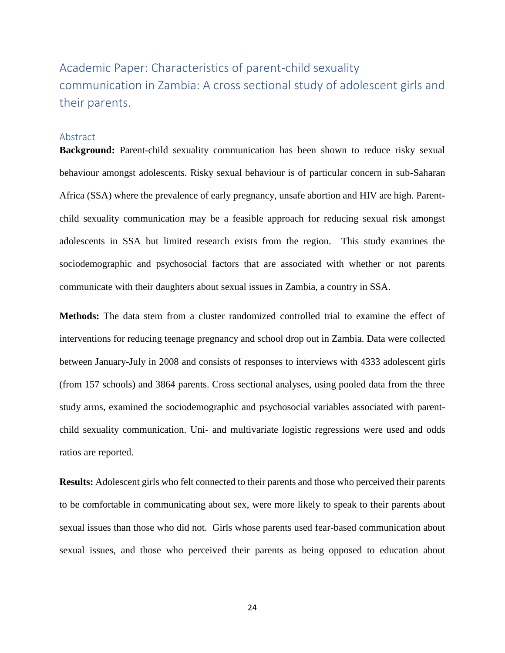<span id="page-26-0"></span>Academic Paper: Characteristics of parent-child sexuality communication in Zambia: A cross sectional study of adolescent girls and their parents.

#### Abstract

**Background:** Parent-child sexuality communication has been shown to reduce risky sexual behaviour amongst adolescents. Risky sexual behaviour is of particular concern in sub-Saharan Africa (SSA) where the prevalence of early pregnancy, unsafe abortion and HIV are high. Parentchild sexuality communication may be a feasible approach for reducing sexual risk amongst adolescents in SSA but limited research exists from the region. This study examines the sociodemographic and psychosocial factors that are associated with whether or not parents communicate with their daughters about sexual issues in Zambia, a country in SSA.

**Methods:** The data stem from a cluster randomized controlled trial to examine the effect of interventions for reducing teenage pregnancy and school drop out in Zambia. Data were collected between January-July in 2008 and consists of responses to interviews with 4333 adolescent girls (from 157 schools) and 3864 parents. Cross sectional analyses, using pooled data from the three study arms, examined the sociodemographic and psychosocial variables associated with parentchild sexuality communication. Uni- and multivariate logistic regressions were used and odds ratios are reported.

**Results:** Adolescent girls who felt connected to their parents and those who perceived their parents to be comfortable in communicating about sex, were more likely to speak to their parents about sexual issues than those who did not. Girls whose parents used fear-based communication about sexual issues, and those who perceived their parents as being opposed to education about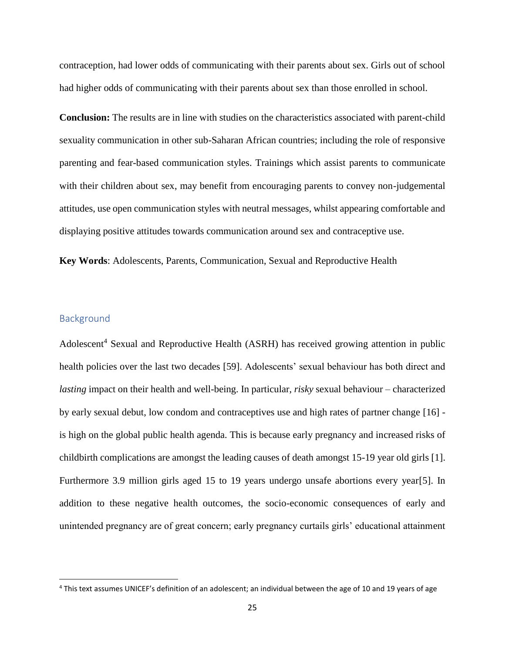contraception, had lower odds of communicating with their parents about sex. Girls out of school had higher odds of communicating with their parents about sex than those enrolled in school.

**Conclusion:** The results are in line with studies on the characteristics associated with parent-child sexuality communication in other sub-Saharan African countries; including the role of responsive parenting and fear-based communication styles. Trainings which assist parents to communicate with their children about sex, may benefit from encouraging parents to convey non-judgemental attitudes, use open communication styles with neutral messages, whilst appearing comfortable and displaying positive attitudes towards communication around sex and contraceptive use.

**Key Words**: Adolescents, Parents, Communication, Sexual and Reproductive Health

# **Background**

 $\overline{\phantom{a}}$ 

Adolescent<sup>4</sup> Sexual and Reproductive Health (ASRH) has received growing attention in public health policies over the last two decades [59]. Adolescents' sexual behaviour has both direct and *lasting* impact on their health and well-being. In particular, *risky* sexual behaviour – characterized by early sexual debut, low condom and contraceptives use and high rates of partner change [16] is high on the global public health agenda. This is because early pregnancy and increased risks of childbirth complications are amongst the leading causes of death amongst 15-19 year old girls [1]. Furthermore 3.9 million girls aged 15 to 19 years undergo unsafe abortions every year[5]. In addition to these negative health outcomes, the socio-economic consequences of early and unintended pregnancy are of great concern; early pregnancy curtails girls' educational attainment

<sup>4</sup> This text assumes UNICEF's definition of an adolescent; an individual between the age of 10 and 19 years of age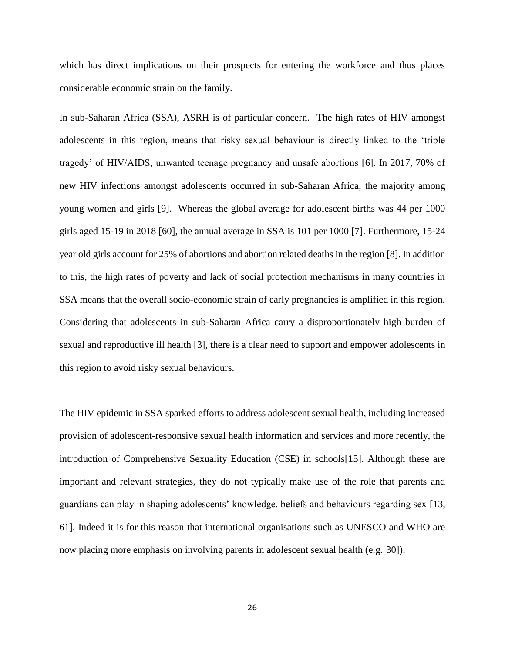which has direct implications on their prospects for entering the workforce and thus places considerable economic strain on the family.

In sub-Saharan Africa (SSA), ASRH is of particular concern. The high rates of HIV amongst adolescents in this region, means that risky sexual behaviour is directly linked to the 'triple tragedy' of HIV/AIDS, unwanted teenage pregnancy and unsafe abortions [6]. In 2017, 70% of new HIV infections amongst adolescents occurred in sub-Saharan Africa, the majority among young women and girls [9]. Whereas the global average for adolescent births was 44 per 1000 girls aged 15-19 in 2018 [60], the annual average in SSA is 101 per 1000 [7]. Furthermore, 15-24 year old girls account for 25% of abortions and abortion related deaths in the region [8]. In addition to this, the high rates of poverty and lack of social protection mechanisms in many countries in SSA means that the overall socio-economic strain of early pregnancies is amplified in this region. Considering that adolescents in sub-Saharan Africa carry a disproportionately high burden of sexual and reproductive ill health [3], there is a clear need to support and empower adolescents in this region to avoid risky sexual behaviours.

The HIV epidemic in SSA sparked efforts to address adolescent sexual health, including increased provision of adolescent-responsive sexual health information and services and more recently, the introduction of Comprehensive Sexuality Education (CSE) in schools[15]. Although these are important and relevant strategies, they do not typically make use of the role that parents and guardians can play in shaping adolescents' knowledge, beliefs and behaviours regarding sex [13, 61]. Indeed it is for this reason that international organisations such as UNESCO and WHO are now placing more emphasis on involving parents in adolescent sexual health (e.g.[30]).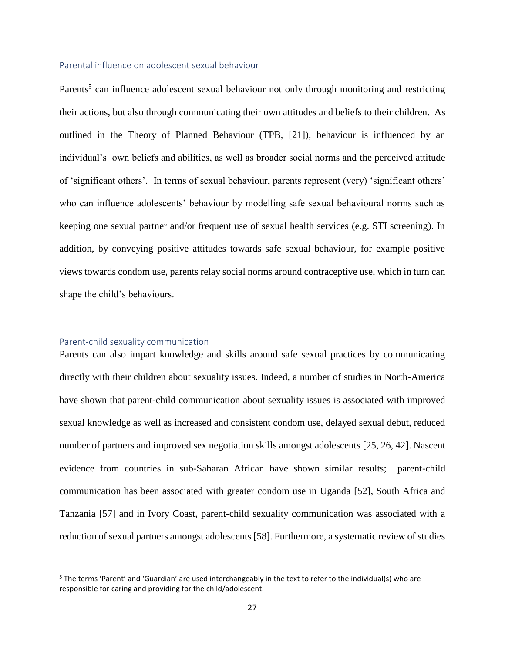#### Parental influence on adolescent sexual behaviour

Parents<sup>5</sup> can influence adolescent sexual behaviour not only through monitoring and restricting their actions, but also through communicating their own attitudes and beliefs to their children. As outlined in the Theory of Planned Behaviour (TPB, [21]), behaviour is influenced by an individual's own beliefs and abilities, as well as broader social norms and the perceived attitude of 'significant others'. In terms of sexual behaviour, parents represent (very) 'significant others' who can influence adolescents' behaviour by modelling safe sexual behavioural norms such as keeping one sexual partner and/or frequent use of sexual health services (e.g. STI screening). In addition, by conveying positive attitudes towards safe sexual behaviour, for example positive views towards condom use, parents relay social norms around contraceptive use, which in turn can shape the child's behaviours.

#### Parent-child sexuality communication

 $\overline{\phantom{a}}$ 

Parents can also impart knowledge and skills around safe sexual practices by communicating directly with their children about sexuality issues. Indeed, a number of studies in North-America have shown that parent-child communication about sexuality issues is associated with improved sexual knowledge as well as increased and consistent condom use, delayed sexual debut, reduced number of partners and improved sex negotiation skills amongst adolescents [25, 26, 42]. Nascent evidence from countries in sub-Saharan African have shown similar results; parent-child communication has been associated with greater condom use in Uganda [52], South Africa and Tanzania [57] and in Ivory Coast, parent-child sexuality communication was associated with a reduction of sexual partners amongst adolescents [58]. Furthermore, a systematic review of studies

<sup>5</sup> The terms 'Parent' and 'Guardian' are used interchangeably in the text to refer to the individual(s) who are responsible for caring and providing for the child/adolescent.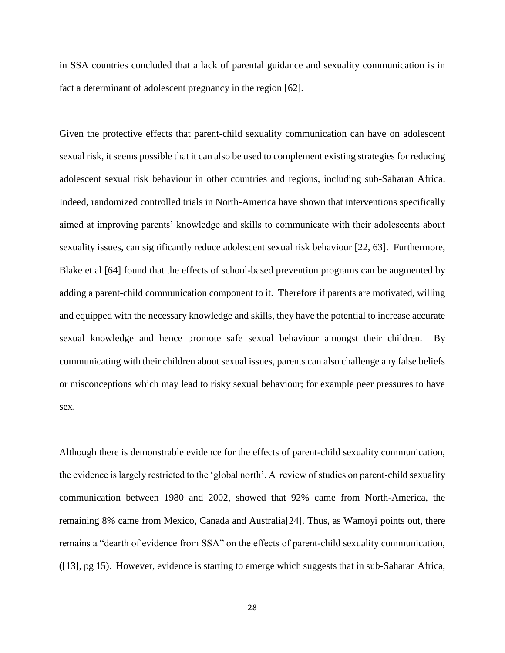in SSA countries concluded that a lack of parental guidance and sexuality communication is in fact a determinant of adolescent pregnancy in the region [62].

Given the protective effects that parent-child sexuality communication can have on adolescent sexual risk, it seems possible that it can also be used to complement existing strategies for reducing adolescent sexual risk behaviour in other countries and regions, including sub-Saharan Africa. Indeed, randomized controlled trials in North-America have shown that interventions specifically aimed at improving parents' knowledge and skills to communicate with their adolescents about sexuality issues, can significantly reduce adolescent sexual risk behaviour [22, 63]. Furthermore, Blake et al [64] found that the effects of school-based prevention programs can be augmented by adding a parent-child communication component to it. Therefore if parents are motivated, willing and equipped with the necessary knowledge and skills, they have the potential to increase accurate sexual knowledge and hence promote safe sexual behaviour amongst their children. By communicating with their children about sexual issues, parents can also challenge any false beliefs or misconceptions which may lead to risky sexual behaviour; for example peer pressures to have sex.

Although there is demonstrable evidence for the effects of parent-child sexuality communication, the evidence is largely restricted to the 'global north'. A review of studies on parent-child sexuality communication between 1980 and 2002, showed that 92% came from North-America, the remaining 8% came from Mexico, Canada and Australia[24]. Thus, as Wamoyi points out, there remains a "dearth of evidence from SSA" on the effects of parent-child sexuality communication, ([13], pg 15). However, evidence is starting to emerge which suggests that in sub-Saharan Africa,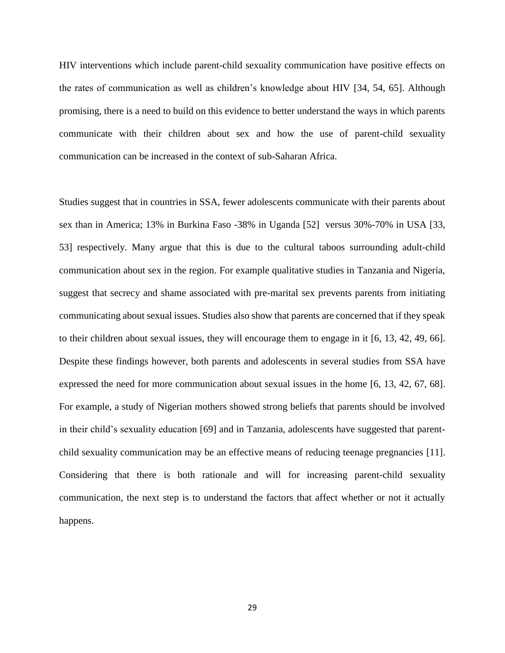HIV interventions which include parent-child sexuality communication have positive effects on the rates of communication as well as children's knowledge about HIV [34, 54, 65]. Although promising, there is a need to build on this evidence to better understand the ways in which parents communicate with their children about sex and how the use of parent-child sexuality communication can be increased in the context of sub-Saharan Africa.

Studies suggest that in countries in SSA, fewer adolescents communicate with their parents about sex than in America; 13% in Burkina Faso -38% in Uganda [52] versus 30%-70% in USA [33, 53] respectively. Many argue that this is due to the cultural taboos surrounding adult-child communication about sex in the region. For example qualitative studies in Tanzania and Nigeria, suggest that secrecy and shame associated with pre-marital sex prevents parents from initiating communicating about sexual issues. Studies also show that parents are concerned that if they speak to their children about sexual issues, they will encourage them to engage in it [6, 13, 42, 49, 66]. Despite these findings however, both parents and adolescents in several studies from SSA have expressed the need for more communication about sexual issues in the home [6, 13, 42, 67, 68]. For example, a study of Nigerian mothers showed strong beliefs that parents should be involved in their child's sexuality education [69] and in Tanzania, adolescents have suggested that parentchild sexuality communication may be an effective means of reducing teenage pregnancies [11]. Considering that there is both rationale and will for increasing parent-child sexuality communication, the next step is to understand the factors that affect whether or not it actually happens.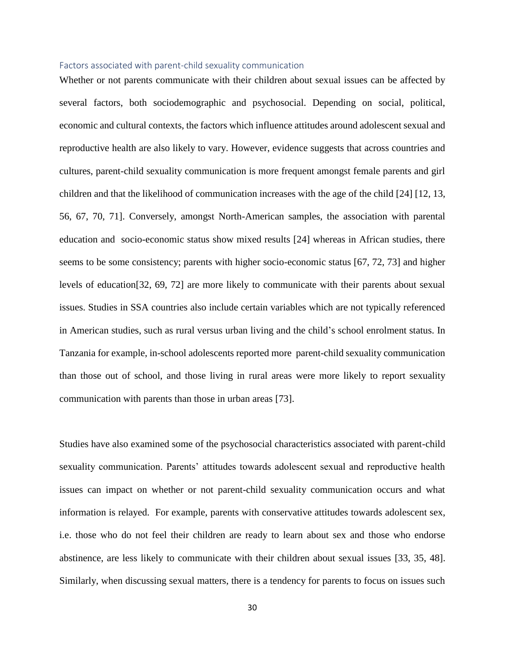#### Factors associated with parent-child sexuality communication

Whether or not parents communicate with their children about sexual issues can be affected by several factors, both sociodemographic and psychosocial. Depending on social, political, economic and cultural contexts, the factors which influence attitudes around adolescent sexual and reproductive health are also likely to vary. However, evidence suggests that across countries and cultures, parent-child sexuality communication is more frequent amongst female parents and girl children and that the likelihood of communication increases with the age of the child [24] [12, 13, 56, 67, 70, 71]. Conversely, amongst North-American samples, the association with parental education and socio-economic status show mixed results [24] whereas in African studies, there seems to be some consistency; parents with higher socio-economic status [67, 72, 73] and higher levels of education[32, 69, 72] are more likely to communicate with their parents about sexual issues. Studies in SSA countries also include certain variables which are not typically referenced in American studies, such as rural versus urban living and the child's school enrolment status. In Tanzania for example, in-school adolescents reported more parent-child sexuality communication than those out of school, and those living in rural areas were more likely to report sexuality communication with parents than those in urban areas [73].

Studies have also examined some of the psychosocial characteristics associated with parent-child sexuality communication. Parents' attitudes towards adolescent sexual and reproductive health issues can impact on whether or not parent-child sexuality communication occurs and what information is relayed. For example, parents with conservative attitudes towards adolescent sex, i.e. those who do not feel their children are ready to learn about sex and those who endorse abstinence, are less likely to communicate with their children about sexual issues [33, 35, 48]. Similarly, when discussing sexual matters, there is a tendency for parents to focus on issues such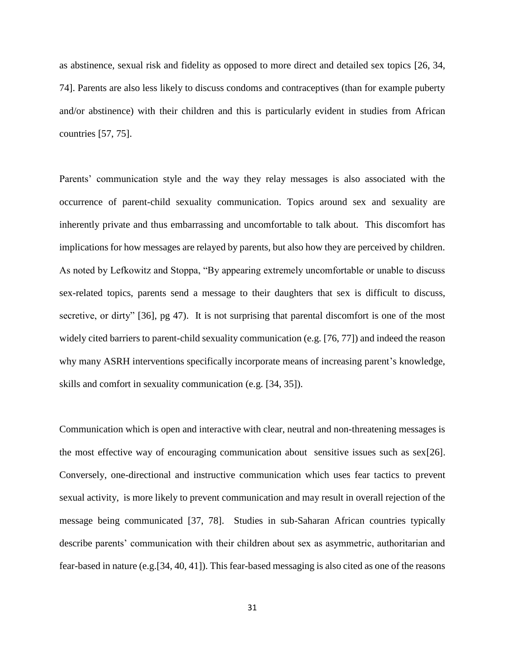as abstinence, sexual risk and fidelity as opposed to more direct and detailed sex topics [26, 34, 74]. Parents are also less likely to discuss condoms and contraceptives (than for example puberty and/or abstinence) with their children and this is particularly evident in studies from African countries [57, 75].

Parents' communication style and the way they relay messages is also associated with the occurrence of parent-child sexuality communication. Topics around sex and sexuality are inherently private and thus embarrassing and uncomfortable to talk about. This discomfort has implications for how messages are relayed by parents, but also how they are perceived by children. As noted by Lefkowitz and Stoppa, "By appearing extremely uncomfortable or unable to discuss sex-related topics, parents send a message to their daughters that sex is difficult to discuss, secretive, or dirty" [36], pg 47). It is not surprising that parental discomfort is one of the most widely cited barriers to parent-child sexuality communication (e.g. [76, 77]) and indeed the reason why many ASRH interventions specifically incorporate means of increasing parent's knowledge, skills and comfort in sexuality communication (e.g. [34, 35]).

Communication which is open and interactive with clear, neutral and non-threatening messages is the most effective way of encouraging communication about sensitive issues such as  $\frac{\text{sex}}{26}$ . Conversely, one-directional and instructive communication which uses fear tactics to prevent sexual activity, is more likely to prevent communication and may result in overall rejection of the message being communicated [37, 78]. Studies in sub-Saharan African countries typically describe parents' communication with their children about sex as asymmetric, authoritarian and fear-based in nature (e.g.[34, 40, 41]). This fear-based messaging is also cited as one of the reasons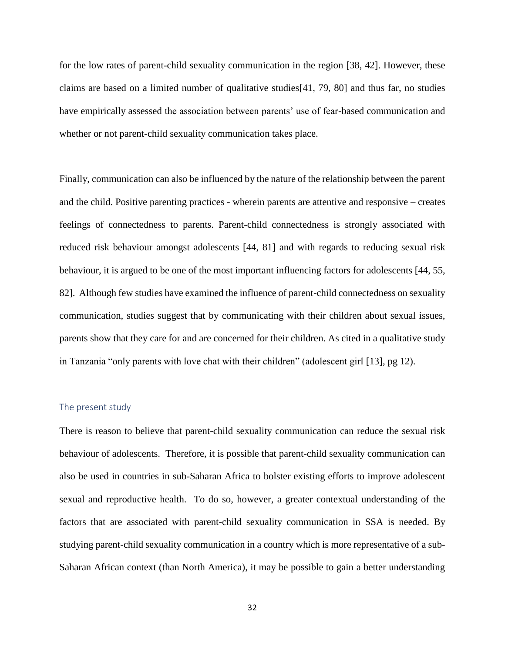for the low rates of parent-child sexuality communication in the region [38, 42]. However, these claims are based on a limited number of qualitative studies[41, 79, 80] and thus far, no studies have empirically assessed the association between parents' use of fear-based communication and whether or not parent-child sexuality communication takes place.

Finally, communication can also be influenced by the nature of the relationship between the parent and the child. Positive parenting practices - wherein parents are attentive and responsive – creates feelings of connectedness to parents. Parent-child connectedness is strongly associated with reduced risk behaviour amongst adolescents [44, 81] and with regards to reducing sexual risk behaviour, it is argued to be one of the most important influencing factors for adolescents [44, 55, 82]. Although few studies have examined the influence of parent-child connectedness on sexuality communication, studies suggest that by communicating with their children about sexual issues, parents show that they care for and are concerned for their children. As cited in a qualitative study in Tanzania "only parents with love chat with their children" (adolescent girl [13], pg 12).

#### The present study

There is reason to believe that parent-child sexuality communication can reduce the sexual risk behaviour of adolescents. Therefore, it is possible that parent-child sexuality communication can also be used in countries in sub-Saharan Africa to bolster existing efforts to improve adolescent sexual and reproductive health. To do so, however, a greater contextual understanding of the factors that are associated with parent-child sexuality communication in SSA is needed. By studying parent-child sexuality communication in a country which is more representative of a sub-Saharan African context (than North America), it may be possible to gain a better understanding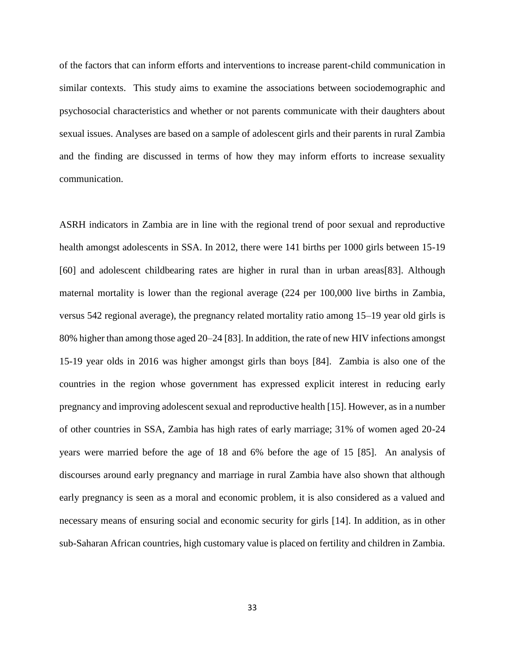of the factors that can inform efforts and interventions to increase parent-child communication in similar contexts. This study aims to examine the associations between sociodemographic and psychosocial characteristics and whether or not parents communicate with their daughters about sexual issues. Analyses are based on a sample of adolescent girls and their parents in rural Zambia and the finding are discussed in terms of how they may inform efforts to increase sexuality communication.

ASRH indicators in Zambia are in line with the regional trend of poor sexual and reproductive health amongst adolescents in SSA. In 2012, there were 141 births per 1000 girls between 15-19 [60] and adolescent childbearing rates are higher in rural than in urban areas[83]. Although maternal mortality is lower than the regional average (224 per 100,000 live births in Zambia, versus 542 regional average), the pregnancy related mortality ratio among 15–19 year old girls is 80% higher than among those aged 20–24 [83]. In addition, the rate of new HIV infections amongst 15-19 year olds in 2016 was higher amongst girls than boys [84]. Zambia is also one of the countries in the region whose government has expressed explicit interest in reducing early pregnancy and improving adolescent sexual and reproductive health [15]. However, as in a number of other countries in SSA, Zambia has high rates of early marriage; 31% of women aged 20-24 years were married before the age of 18 and 6% before the age of 15 [85]. An analysis of discourses around early pregnancy and marriage in rural Zambia have also shown that although early pregnancy is seen as a moral and economic problem, it is also considered as a valued and necessary means of ensuring social and economic security for girls [14]. In addition, as in other sub-Saharan African countries, high customary value is placed on fertility and children in Zambia.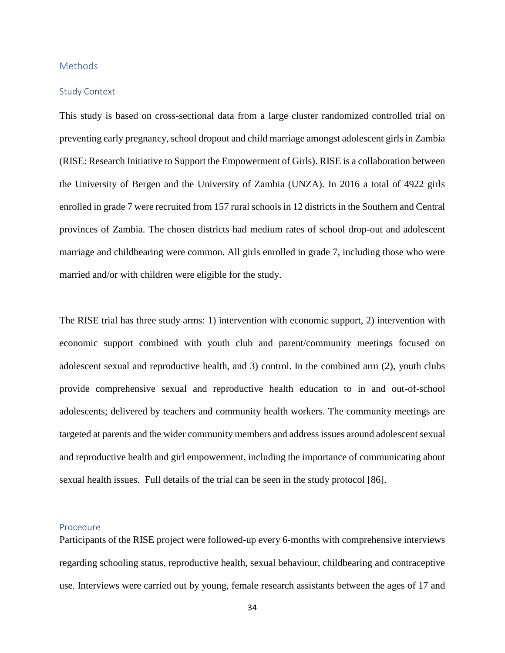#### **Methods**

#### Study Context

This study is based on cross-sectional data from a large cluster randomized controlled trial on preventing early pregnancy, school dropout and child marriage amongst adolescent girls in Zambia (RISE: Research Initiative to Support the Empowerment of Girls). RISE is a collaboration between the University of Bergen and the University of Zambia (UNZA). In 2016 a total of 4922 girls enrolled in grade 7 were recruited from 157 rural schools in 12 districts in the Southern and Central provinces of Zambia. The chosen districts had medium rates of school drop-out and adolescent marriage and childbearing were common. All girls enrolled in grade 7, including those who were married and/or with children were eligible for the study.

The RISE trial has three study arms: 1) intervention with economic support, 2) intervention with economic support combined with youth club and parent/community meetings focused on adolescent sexual and reproductive health, and 3) control. In the combined arm (2), youth clubs provide comprehensive sexual and reproductive health education to in and out-of-school adolescents; delivered by teachers and community health workers. The community meetings are targeted at parents and the wider community members and address issues around adolescent sexual and reproductive health and girl empowerment, including the importance of communicating about sexual health issues. Full details of the trial can be seen in the study protocol [86].

## Procedure

Participants of the RISE project were followed-up every 6-months with comprehensive interviews regarding schooling status, reproductive health, sexual behaviour, childbearing and contraceptive use. Interviews were carried out by young, female research assistants between the ages of 17 and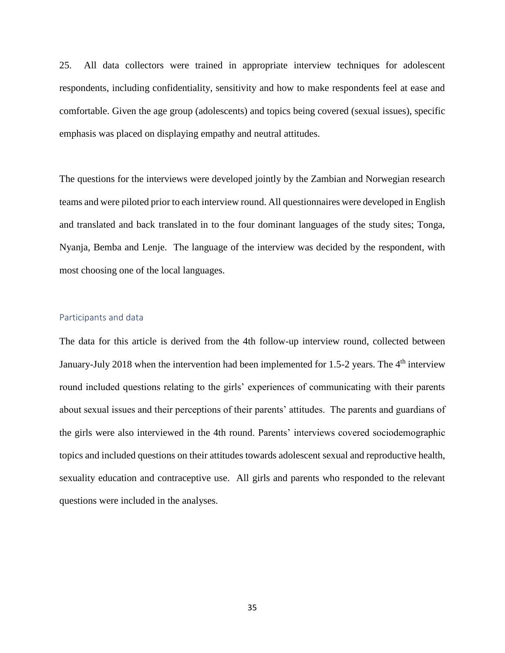25. All data collectors were trained in appropriate interview techniques for adolescent respondents, including confidentiality, sensitivity and how to make respondents feel at ease and comfortable. Given the age group (adolescents) and topics being covered (sexual issues), specific emphasis was placed on displaying empathy and neutral attitudes.

The questions for the interviews were developed jointly by the Zambian and Norwegian research teams and were piloted prior to each interview round. All questionnaires were developed in English and translated and back translated in to the four dominant languages of the study sites; Tonga, Nyanja, Bemba and Lenje. The language of the interview was decided by the respondent, with most choosing one of the local languages.

## Participants and data

The data for this article is derived from the 4th follow-up interview round, collected between January-July 2018 when the intervention had been implemented for 1.5-2 years. The 4<sup>th</sup> interview round included questions relating to the girls' experiences of communicating with their parents about sexual issues and their perceptions of their parents' attitudes. The parents and guardians of the girls were also interviewed in the 4th round. Parents' interviews covered sociodemographic topics and included questions on their attitudes towards adolescent sexual and reproductive health, sexuality education and contraceptive use. All girls and parents who responded to the relevant questions were included in the analyses.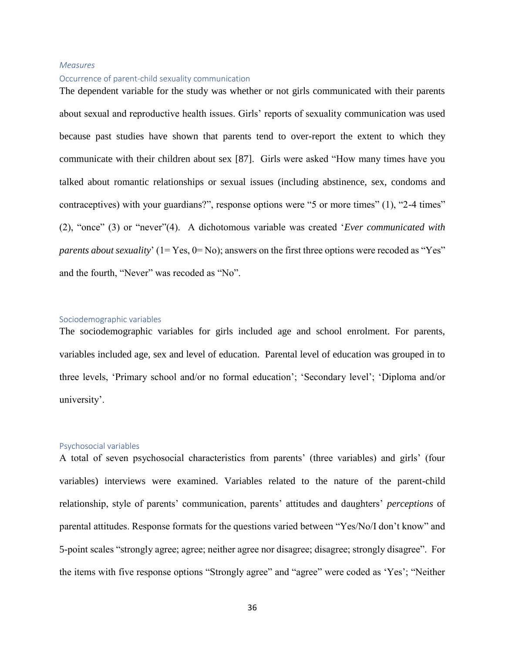#### *Measures*

#### Occurrence of parent-child sexuality communication

The dependent variable for the study was whether or not girls communicated with their parents about sexual and reproductive health issues. Girls' reports of sexuality communication was used because past studies have shown that parents tend to over-report the extent to which they communicate with their children about sex [87]. Girls were asked "How many times have you talked about romantic relationships or sexual issues (including abstinence, sex, condoms and contraceptives) with your guardians?", response options were "5 or more times" (1), "2-4 times" (2), "once" (3) or "never"(4). A dichotomous variable was created '*Ever communicated with parents about sexuality*' (1= Yes, 0= No); answers on the first three options were recoded as "Yes" and the fourth, "Never" was recoded as "No".

#### Sociodemographic variables

The sociodemographic variables for girls included age and school enrolment. For parents, variables included age, sex and level of education. Parental level of education was grouped in to three levels, 'Primary school and/or no formal education'; 'Secondary level'; 'Diploma and/or university'.

#### Psychosocial variables

A total of seven psychosocial characteristics from parents' (three variables) and girls' (four variables) interviews were examined. Variables related to the nature of the parent-child relationship, style of parents' communication, parents' attitudes and daughters' *perceptions* of parental attitudes. Response formats for the questions varied between "Yes/No/I don't know" and 5-point scales "strongly agree; agree; neither agree nor disagree; disagree; strongly disagree". For the items with five response options "Strongly agree" and "agree" were coded as 'Yes'; "Neither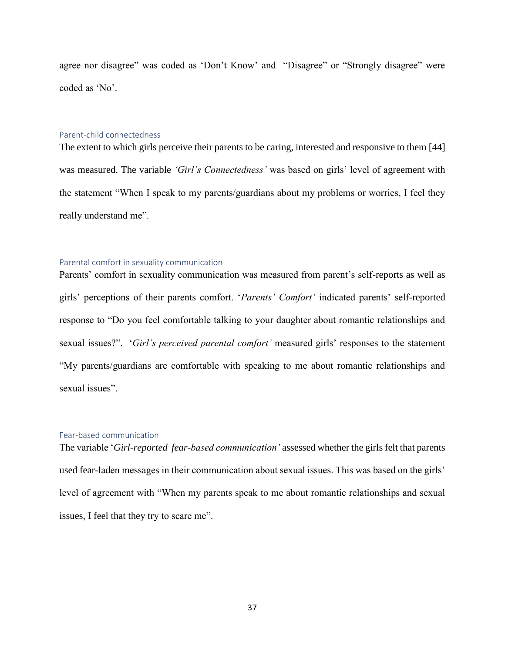agree nor disagree" was coded as 'Don't Know' and "Disagree" or "Strongly disagree" were coded as 'No'.

#### Parent-child connectedness

The extent to which girls perceive their parents to be caring, interested and responsive to them [44] was measured. The variable *'Girl's Connectedness'* was based on girls' level of agreement with the statement "When I speak to my parents/guardians about my problems or worries, I feel they really understand me".

#### Parental comfort in sexuality communication

Parents' comfort in sexuality communication was measured from parent's self-reports as well as girls' perceptions of their parents comfort. '*Parents' Comfort'* indicated parents' self-reported response to "Do you feel comfortable talking to your daughter about romantic relationships and sexual issues?". '*Girl's perceived parental comfort'* measured girls' responses to the statement "My parents/guardians are comfortable with speaking to me about romantic relationships and sexual issues".

#### Fear-based communication

The variable '*Girl-reported fear-based communication'* assessed whether the girls felt that parents used fear-laden messages in their communication about sexual issues. This was based on the girls' level of agreement with "When my parents speak to me about romantic relationships and sexual issues, I feel that they try to scare me".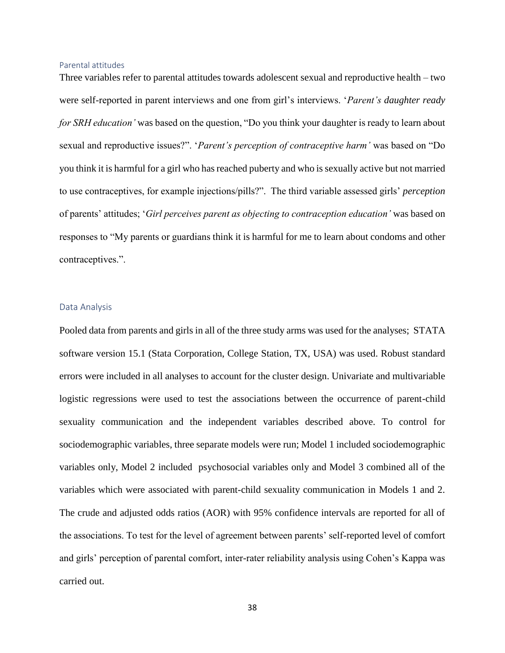#### Parental attitudes

Three variables refer to parental attitudes towards adolescent sexual and reproductive health – two were self-reported in parent interviews and one from girl's interviews. '*Parent's daughter ready for SRH education'* was based on the question, "Do you think your daughter is ready to learn about sexual and reproductive issues?". '*Parent's perception of contraceptive harm'* was based on "Do you think it is harmful for a girl who has reached puberty and who is sexually active but not married to use contraceptives, for example injections/pills?". The third variable assessed girls' *perception* of parents' attitudes; '*Girl perceives parent as objecting to contraception education'* was based on responses to "My parents or guardians think it is harmful for me to learn about condoms and other contraceptives.".

#### Data Analysis

Pooled data from parents and girls in all of the three study arms was used for the analyses; STATA software version 15.1 (Stata Corporation, College Station, TX, USA) was used. Robust standard errors were included in all analyses to account for the cluster design. Univariate and multivariable logistic regressions were used to test the associations between the occurrence of parent-child sexuality communication and the independent variables described above. To control for sociodemographic variables, three separate models were run; Model 1 included sociodemographic variables only, Model 2 included psychosocial variables only and Model 3 combined all of the variables which were associated with parent-child sexuality communication in Models 1 and 2. The crude and adjusted odds ratios (AOR) with 95% confidence intervals are reported for all of the associations. To test for the level of agreement between parents' self-reported level of comfort and girls' perception of parental comfort, inter-rater reliability analysis using Cohen's Kappa was carried out.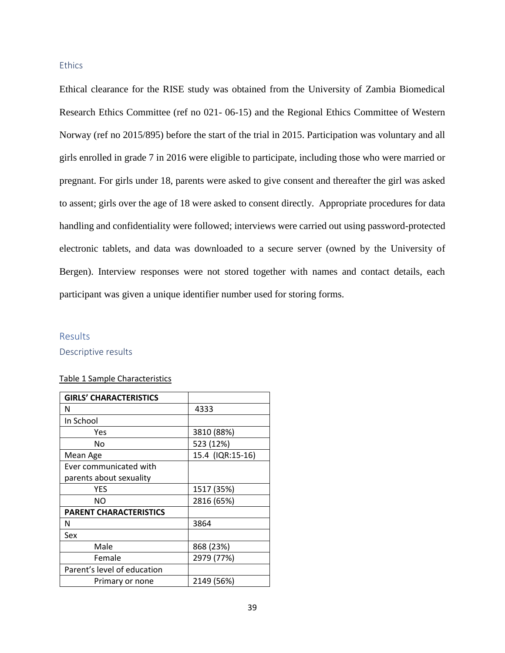#### **Ethics**

Ethical clearance for the RISE study was obtained from the University of Zambia Biomedical Research Ethics Committee (ref no 021- 06-15) and the Regional Ethics Committee of Western Norway (ref no 2015/895) before the start of the trial in 2015. Participation was voluntary and all girls enrolled in grade 7 in 2016 were eligible to participate, including those who were married or pregnant. For girls under 18, parents were asked to give consent and thereafter the girl was asked to assent; girls over the age of 18 were asked to consent directly. Appropriate procedures for data handling and confidentiality were followed; interviews were carried out using password-protected electronic tablets, and data was downloaded to a secure server (owned by the University of Bergen). Interview responses were not stored together with names and contact details, each participant was given a unique identifier number used for storing forms.

# **Results**

Descriptive results

#### Table 1 Sample Characteristics

| <b>GIRLS' CHARACTERISTICS</b> |                  |
|-------------------------------|------------------|
| N                             | 4333             |
| In School                     |                  |
| Yes                           | 3810 (88%)       |
| No                            | 523 (12%)        |
| Mean Age                      | 15.4 (IQR:15-16) |
| Ever communicated with        |                  |
| parents about sexuality       |                  |
| YES                           | 1517 (35%)       |
| NΟ                            | 2816 (65%)       |
| <b>PARENT CHARACTERISTICS</b> |                  |
| N                             | 3864             |
| Sex                           |                  |
| Male                          | 868 (23%)        |
| Female                        | 2979 (77%)       |
| Parent's level of education   |                  |
| Primary or none               | 2149 (56%)       |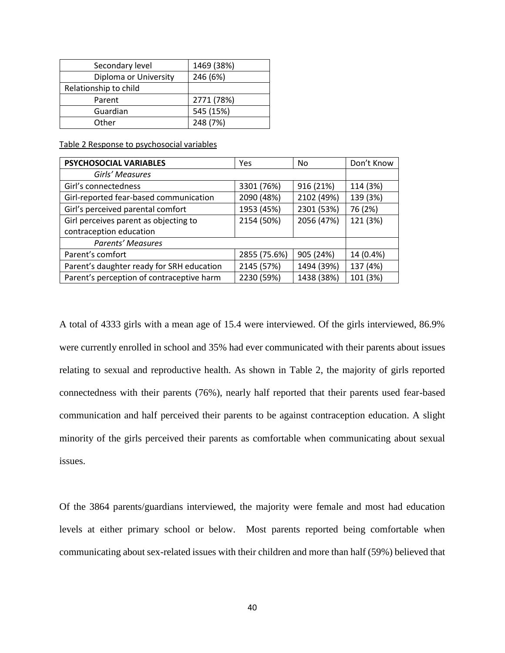| Secondary level       | 1469 (38%) |
|-----------------------|------------|
| Diploma or University | 246 (6%)   |
| Relationship to child |            |
| Parent                | 2771 (78%) |
| Guardian              | 545 (15%)  |
| Other                 | 248 (7%)   |

Table 2 Response to psychosocial variables

| <b>PSYCHOSOCIAL VARIABLES</b>             | Yes          | No         | Don't Know |
|-------------------------------------------|--------------|------------|------------|
| Girls' Measures                           |              |            |            |
| Girl's connectedness                      | 3301 (76%)   | 916 (21%)  | 114 (3%)   |
| Girl-reported fear-based communication    | 2090 (48%)   | 2102 (49%) | 139 (3%)   |
| Girl's perceived parental comfort         | 1953 (45%)   | 2301 (53%) | 76 (2%)    |
| Girl perceives parent as objecting to     | 2154 (50%)   | 2056 (47%) | 121 (3%)   |
| contraception education                   |              |            |            |
| <b>Parents' Measures</b>                  |              |            |            |
| Parent's comfort                          | 2855 (75.6%) | 905 (24%)  | 14 (0.4%)  |
| Parent's daughter ready for SRH education | 2145 (57%)   | 1494 (39%) | 137 (4%)   |
| Parent's perception of contraceptive harm | 2230 (59%)   | 1438 (38%) | 101 (3%)   |

A total of 4333 girls with a mean age of 15.4 were interviewed. Of the girls interviewed, 86.9% were currently enrolled in school and 35% had ever communicated with their parents about issues relating to sexual and reproductive health. As shown in Table 2, the majority of girls reported connectedness with their parents (76%), nearly half reported that their parents used fear-based communication and half perceived their parents to be against contraception education. A slight minority of the girls perceived their parents as comfortable when communicating about sexual issues.

Of the 3864 parents/guardians interviewed, the majority were female and most had education levels at either primary school or below. Most parents reported being comfortable when communicating about sex-related issues with their children and more than half (59%) believed that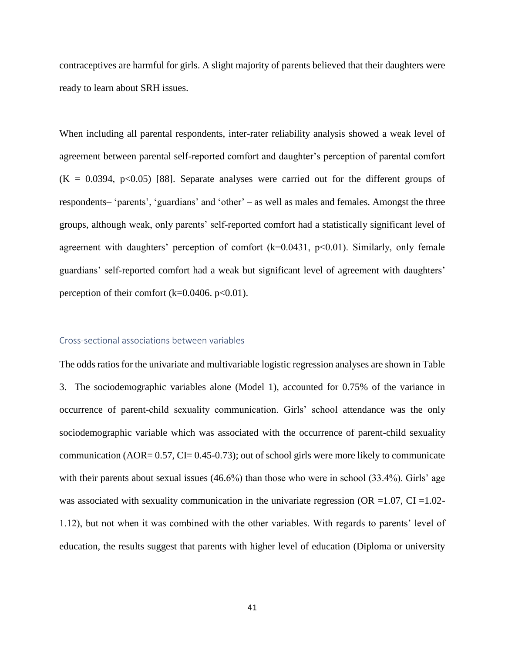contraceptives are harmful for girls. A slight majority of parents believed that their daughters were ready to learn about SRH issues.

When including all parental respondents, inter-rater reliability analysis showed a weak level of agreement between parental self-reported comfort and daughter's perception of parental comfort  $(K = 0.0394, p<0.05)$  [88]. Separate analyses were carried out for the different groups of respondents– 'parents', 'guardians' and 'other' – as well as males and females. Amongst the three groups, although weak, only parents' self-reported comfort had a statistically significant level of agreement with daughters' perception of comfort  $(k=0.0431, p<0.01)$ . Similarly, only female guardians' self-reported comfort had a weak but significant level of agreement with daughters' perception of their comfort  $(k=0.0406, p<0.01)$ .

#### Cross-sectional associations between variables

The odds ratios for the univariate and multivariable logistic regression analyses are shown in Table 3. The sociodemographic variables alone (Model 1), accounted for 0.75% of the variance in occurrence of parent-child sexuality communication. Girls' school attendance was the only sociodemographic variable which was associated with the occurrence of parent-child sexuality communication (AOR=  $0.57$ , CI=  $0.45$ - $0.73$ ); out of school girls were more likely to communicate with their parents about sexual issues (46.6%) than those who were in school (33.4%). Girls' age was associated with sexuality communication in the univariate regression (OR = $1.07$ , CI = $1.02$ -1.12), but not when it was combined with the other variables. With regards to parents' level of education, the results suggest that parents with higher level of education (Diploma or university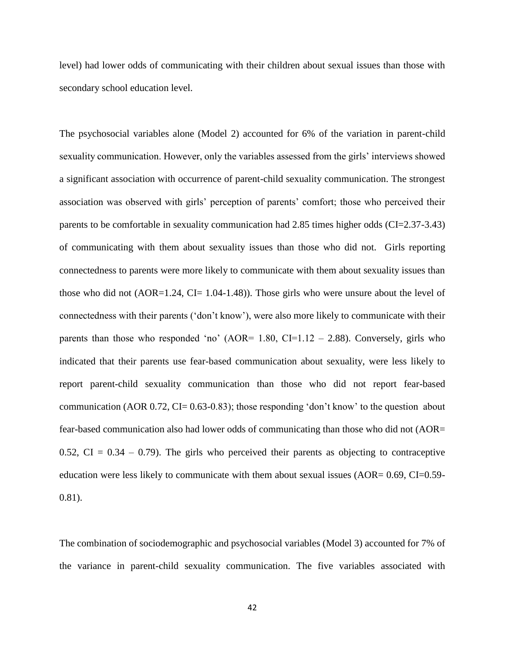level) had lower odds of communicating with their children about sexual issues than those with secondary school education level.

The psychosocial variables alone (Model 2) accounted for 6% of the variation in parent-child sexuality communication. However, only the variables assessed from the girls' interviews showed a significant association with occurrence of parent-child sexuality communication. The strongest association was observed with girls' perception of parents' comfort; those who perceived their parents to be comfortable in sexuality communication had 2.85 times higher odds (CI=2.37-3.43) of communicating with them about sexuality issues than those who did not. Girls reporting connectedness to parents were more likely to communicate with them about sexuality issues than those who did not (AOR=1.24, CI= 1.04-1.48)). Those girls who were unsure about the level of connectedness with their parents ('don't know'), were also more likely to communicate with their parents than those who responded 'no' (AOR=  $1.80$ , CI=1.12 – 2.88). Conversely, girls who indicated that their parents use fear-based communication about sexuality, were less likely to report parent-child sexuality communication than those who did not report fear-based communication (AOR 0.72, CI= 0.63-0.83); those responding 'don't know' to the question about fear-based communication also had lower odds of communicating than those who did not (AOR= 0.52, CI =  $0.34 - 0.79$ ). The girls who perceived their parents as objecting to contraceptive education were less likely to communicate with them about sexual issues (AOR= 0.69, CI=0.59- 0.81).

The combination of sociodemographic and psychosocial variables (Model 3) accounted for 7% of the variance in parent-child sexuality communication. The five variables associated with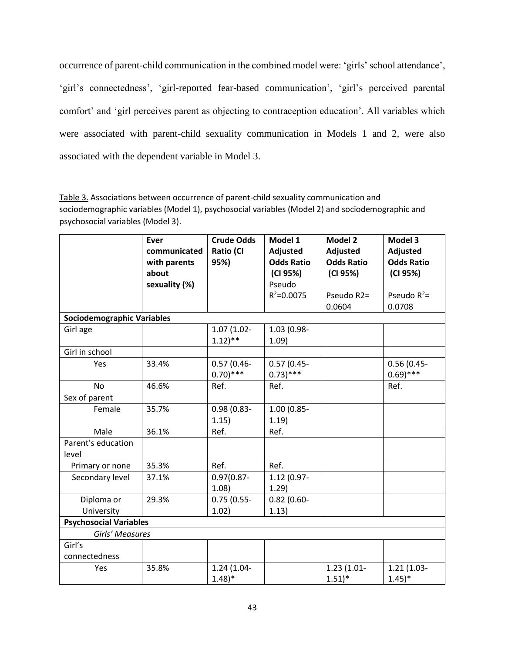occurrence of parent-child communication in the combined model were: 'girls' school attendance', 'girl's connectedness', 'girl-reported fear-based communication', 'girl's perceived parental comfort' and 'girl perceives parent as objecting to contraception education'. All variables which were associated with parent-child sexuality communication in Models 1 and 2, were also associated with the dependent variable in Model 3.

Table 3. Associations between occurrence of parent-child sexuality communication and sociodemographic variables (Model 1), psychosocial variables (Model 2) and sociodemographic and psychosocial variables (Model 3).

|                                   | <b>Ever</b><br>communicated | <b>Crude Odds</b><br><b>Ratio (CI</b>  | Model 1<br>Adjusted          | Model 2<br>Adjusted                  | Model 3<br>Adjusted                    |
|-----------------------------------|-----------------------------|----------------------------------------|------------------------------|--------------------------------------|----------------------------------------|
|                                   | with parents<br>about       | 95%)                                   | <b>Odds Ratio</b>            | <b>Odds Ratio</b>                    | <b>Odds Ratio</b>                      |
|                                   | sexuality (%)               |                                        | (CI 95%)<br>Pseudo           | (CI 95%)                             | (CI 95%)                               |
|                                   |                             |                                        | $R^2 = 0.0075$               | Pseudo R2=<br>0.0604                 | Pseudo $R^2$ =<br>0.0708               |
| <b>Sociodemographic Variables</b> |                             |                                        |                              |                                      |                                        |
| Girl age                          |                             | $1.07(1.02 -$<br>$1.12$ <sup>**</sup>  | 1.03 (0.98-<br>1.09)         |                                      |                                        |
| Girl in school                    |                             |                                        |                              |                                      |                                        |
| Yes                               | 33.4%                       | $0.57(0.46 -$<br>$0.70$ <sup>***</sup> | $0.57(0.45 -$<br>$0.73$ )*** |                                      | $0.56(0.45 -$<br>$0.69$ <sup>***</sup> |
| <b>No</b>                         | 46.6%                       | Ref.                                   | Ref.                         |                                      | Ref.                                   |
| Sex of parent                     |                             |                                        |                              |                                      |                                        |
| Female                            | 35.7%                       | $0.98(0.83 -$<br>1.15)                 | 1.00 (0.85-<br>1.19)         |                                      |                                        |
| Male                              | 36.1%                       | Ref.                                   | Ref.                         |                                      |                                        |
| Parent's education<br>level       |                             |                                        |                              |                                      |                                        |
| Primary or none                   | 35.3%                       | Ref.                                   | Ref.                         |                                      |                                        |
| Secondary level                   | 37.1%                       | $0.97(0.87 -$<br>1.08                  | 1.12 (0.97-<br>1.29)         |                                      |                                        |
| Diploma or                        | 29.3%                       | $0.75(0.55 -$                          | $0.82(0.60 -$                |                                      |                                        |
| University                        |                             | 1.02)                                  | 1.13)                        |                                      |                                        |
| <b>Psychosocial Variables</b>     |                             |                                        |                              |                                      |                                        |
| Girls' Measures                   |                             |                                        |                              |                                      |                                        |
| Girl's<br>connectedness           |                             |                                        |                              |                                      |                                        |
| Yes                               | 35.8%                       | 1.24 (1.04-<br>$1.48$ <sup>*</sup>     |                              | $1.23(1.01 -$<br>$1.51$ <sup>*</sup> | $1.21(1.03 -$<br>$1.45$ <sup>*</sup>   |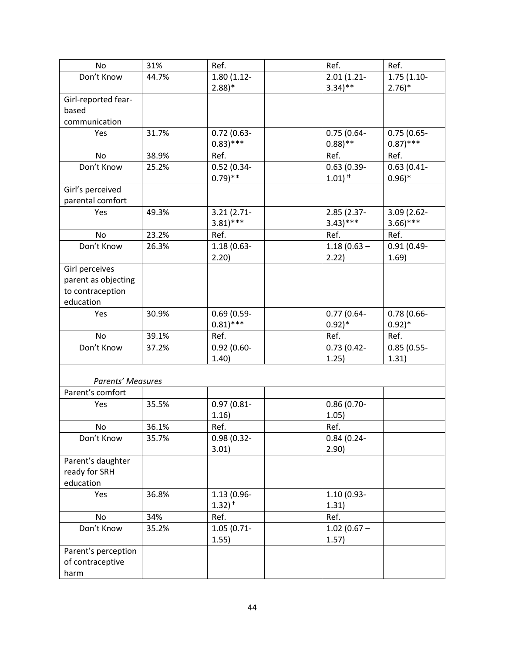| No                       | 31%   | Ref.                 | Ref.                 | Ref.                |
|--------------------------|-------|----------------------|----------------------|---------------------|
| Don't Know               | 44.7% | $1.80(1.12 -$        | $2.01(1.21 -$        | $1.75(1.10-$        |
|                          |       | $2.88$ <sup>*</sup>  | $3.34$ <sup>**</sup> | $2.76$ <sup>*</sup> |
| Girl-reported fear-      |       |                      |                      |                     |
| based                    |       |                      |                      |                     |
| communication            |       |                      |                      |                     |
| Yes                      | 31.7% | $0.72(0.63 -$        | $0.75(0.64 -$        | $0.75(0.65 -$       |
|                          |       | $0.83$ )***          | $0.88$ )**           | $(0.87)$ ***        |
| No                       | 38.9% | Ref.                 | Ref.                 | Ref.                |
| Don't Know               | 25.2% | $0.52(0.34 -$        | $0.63(0.39-$         | $0.63(0.41 -$       |
|                          |       | $0.79$ <sup>**</sup> | $1.01$ <sup>#</sup>  | $0.96$ <sup>*</sup> |
| Girl's perceived         |       |                      |                      |                     |
| parental comfort         |       |                      |                      |                     |
| Yes                      | 49.3% | $3.21(2.71 -$        | 2.85 (2.37-          | 3.09 (2.62-         |
|                          |       | $3.81$ )***          | $(3.43)$ ***         | $3.66$ )***         |
| No                       | 23.2% | Ref.                 | Ref.                 | Ref.                |
| Don't Know               | 26.3% | $1.18(0.63 -$        | $1.18(0.63 -$        | $0.91(0.49 -$       |
|                          |       | 2.20)                | 2.22)                | 1.69)               |
| Girl perceives           |       |                      |                      |                     |
| parent as objecting      |       |                      |                      |                     |
| to contraception         |       |                      |                      |                     |
| education                |       |                      |                      |                     |
| Yes                      | 30.9% | $0.69(0.59-$         | $0.77(0.64 -$        | $0.78(0.66 -$       |
|                          |       | $0.81$ )***          | $0.92)*$             | $0.92)*$            |
| <b>No</b>                | 39.1% | Ref.                 | Ref.                 | Ref.                |
| Don't Know               | 37.2% | $0.92(0.60 -$        | $0.73(0.42 -$        | $0.85(0.55 -$       |
|                          |       | 1.40)                | 1.25)                | 1.31)               |
|                          |       |                      |                      |                     |
| <b>Parents' Measures</b> |       |                      |                      |                     |
| Parent's comfort         |       |                      |                      |                     |
| Yes                      | 35.5% | $0.97(0.81 -$        | $0.86(0.70 -$        |                     |
|                          |       | 1.16)                | 1.05)                |                     |
| No                       | 36.1% | Ref.                 | Ref.                 |                     |
| Don't Know               | 35.7% | $0.98(0.32 -$        | $0.84(0.24 -$        |                     |
|                          |       | 3.01)                | 2.90)                |                     |
| Parent's daughter        |       |                      |                      |                     |
| ready for SRH            |       |                      |                      |                     |
| education                |       |                      |                      |                     |
| Yes                      | 36.8% | 1.13 (0.96-          | $1.10(0.93 -$        |                     |
|                          |       | $1.32$ <sup>+</sup>  | 1.31)                |                     |
| No                       | 34%   | Ref.                 | Ref.                 |                     |
| Don't Know               | 35.2% | 1.05 (0.71-          | $1.02(0.67 -$        |                     |
|                          |       | 1.55)                | 1.57)                |                     |
| Parent's perception      |       |                      |                      |                     |
| of contraceptive         |       |                      |                      |                     |
| harm                     |       |                      |                      |                     |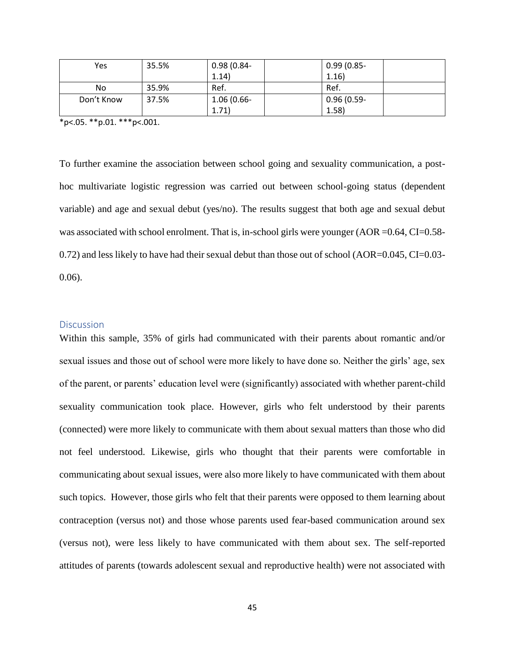| Yes        | 35.5% | $0.98(0.84 -$ | $0.99(0.85 -$ |
|------------|-------|---------------|---------------|
|            |       | 1.14)         | 1.16)         |
| No         | 35.9% | Ref.          | Ref.          |
| Don't Know | 37.5% | $1.06(0.66 -$ | $0.96(0.59 -$ |
|            |       | 1.71)         | 1.58)         |

\*p<.05. \*\*p.01. \*\*\*p<.001.

To further examine the association between school going and sexuality communication, a posthoc multivariate logistic regression was carried out between school-going status (dependent variable) and age and sexual debut (yes/no). The results suggest that both age and sexual debut was associated with school enrolment. That is, in-school girls were younger (AOR = 0.64, CI=0.58-0.72) and less likely to have had their sexual debut than those out of school (AOR=0.045, CI=0.03-0.06).

#### **Discussion**

Within this sample, 35% of girls had communicated with their parents about romantic and/or sexual issues and those out of school were more likely to have done so. Neither the girls' age, sex of the parent, or parents' education level were (significantly) associated with whether parent-child sexuality communication took place. However, girls who felt understood by their parents (connected) were more likely to communicate with them about sexual matters than those who did not feel understood. Likewise, girls who thought that their parents were comfortable in communicating about sexual issues, were also more likely to have communicated with them about such topics. However, those girls who felt that their parents were opposed to them learning about contraception (versus not) and those whose parents used fear-based communication around sex (versus not), were less likely to have communicated with them about sex. The self-reported attitudes of parents (towards adolescent sexual and reproductive health) were not associated with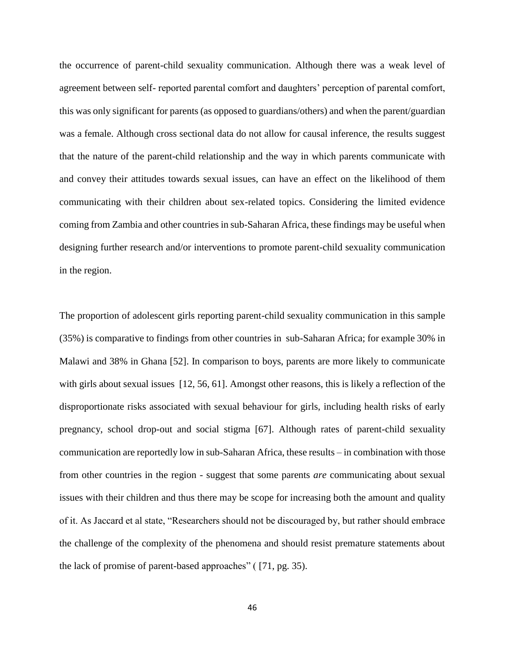the occurrence of parent-child sexuality communication. Although there was a weak level of agreement between self- reported parental comfort and daughters' perception of parental comfort, this was only significant for parents (as opposed to guardians/others) and when the parent/guardian was a female. Although cross sectional data do not allow for causal inference, the results suggest that the nature of the parent-child relationship and the way in which parents communicate with and convey their attitudes towards sexual issues, can have an effect on the likelihood of them communicating with their children about sex-related topics. Considering the limited evidence coming from Zambia and other countries in sub-Saharan Africa, these findings may be useful when designing further research and/or interventions to promote parent-child sexuality communication in the region.

The proportion of adolescent girls reporting parent-child sexuality communication in this sample (35%) is comparative to findings from other countries in sub-Saharan Africa; for example 30% in Malawi and 38% in Ghana [52]. In comparison to boys, parents are more likely to communicate with girls about sexual issues [12, 56, 61]. Amongst other reasons, this is likely a reflection of the disproportionate risks associated with sexual behaviour for girls, including health risks of early pregnancy, school drop-out and social stigma [67]. Although rates of parent-child sexuality communication are reportedly low in sub-Saharan Africa, these results – in combination with those from other countries in the region - suggest that some parents *are* communicating about sexual issues with their children and thus there may be scope for increasing both the amount and quality of it. As Jaccard et al state, "Researchers should not be discouraged by, but rather should embrace the challenge of the complexity of the phenomena and should resist premature statements about the lack of promise of parent-based approaches" ( [71, pg. 35).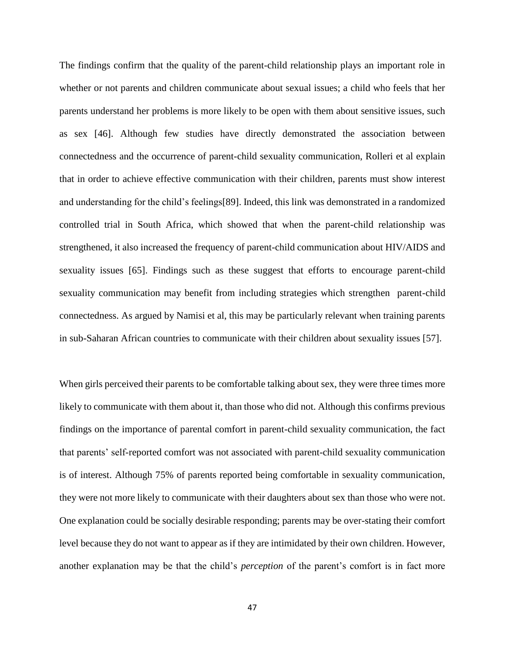The findings confirm that the quality of the parent-child relationship plays an important role in whether or not parents and children communicate about sexual issues; a child who feels that her parents understand her problems is more likely to be open with them about sensitive issues, such as sex [46]. Although few studies have directly demonstrated the association between connectedness and the occurrence of parent-child sexuality communication, Rolleri et al explain that in order to achieve effective communication with their children, parents must show interest and understanding for the child's feelings[89]. Indeed, this link was demonstrated in a randomized controlled trial in South Africa, which showed that when the parent-child relationship was strengthened, it also increased the frequency of parent-child communication about HIV/AIDS and sexuality issues [65]. Findings such as these suggest that efforts to encourage parent-child sexuality communication may benefit from including strategies which strengthen parent-child connectedness. As argued by Namisi et al, this may be particularly relevant when training parents in sub-Saharan African countries to communicate with their children about sexuality issues [57].

When girls perceived their parents to be comfortable talking about sex, they were three times more likely to communicate with them about it, than those who did not. Although this confirms previous findings on the importance of parental comfort in parent-child sexuality communication, the fact that parents' self-reported comfort was not associated with parent-child sexuality communication is of interest. Although 75% of parents reported being comfortable in sexuality communication, they were not more likely to communicate with their daughters about sex than those who were not. One explanation could be socially desirable responding; parents may be over-stating their comfort level because they do not want to appear as if they are intimidated by their own children. However, another explanation may be that the child's *perception* of the parent's comfort is in fact more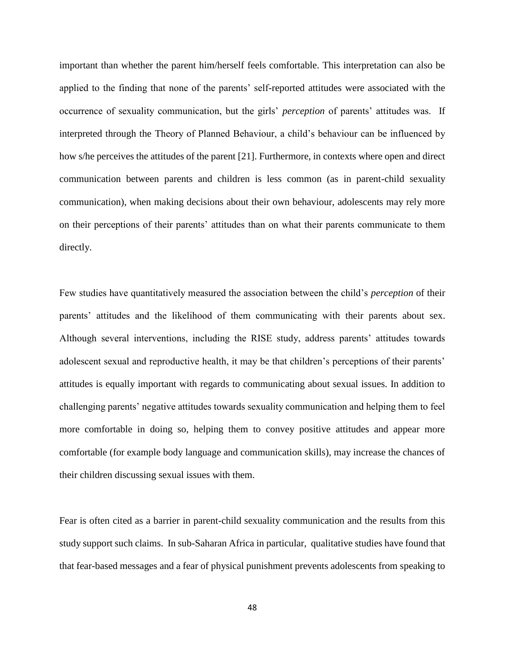important than whether the parent him/herself feels comfortable. This interpretation can also be applied to the finding that none of the parents' self-reported attitudes were associated with the occurrence of sexuality communication, but the girls' *perception* of parents' attitudes was. If interpreted through the Theory of Planned Behaviour, a child's behaviour can be influenced by how s/he perceives the attitudes of the parent [21]. Furthermore, in contexts where open and direct communication between parents and children is less common (as in parent-child sexuality communication), when making decisions about their own behaviour, adolescents may rely more on their perceptions of their parents' attitudes than on what their parents communicate to them directly.

Few studies have quantitatively measured the association between the child's *perception* of their parents' attitudes and the likelihood of them communicating with their parents about sex. Although several interventions, including the RISE study, address parents' attitudes towards adolescent sexual and reproductive health, it may be that children's perceptions of their parents' attitudes is equally important with regards to communicating about sexual issues. In addition to challenging parents' negative attitudes towards sexuality communication and helping them to feel more comfortable in doing so, helping them to convey positive attitudes and appear more comfortable (for example body language and communication skills), may increase the chances of their children discussing sexual issues with them.

Fear is often cited as a barrier in parent-child sexuality communication and the results from this study support such claims. In sub-Saharan Africa in particular, qualitative studies have found that that fear-based messages and a fear of physical punishment prevents adolescents from speaking to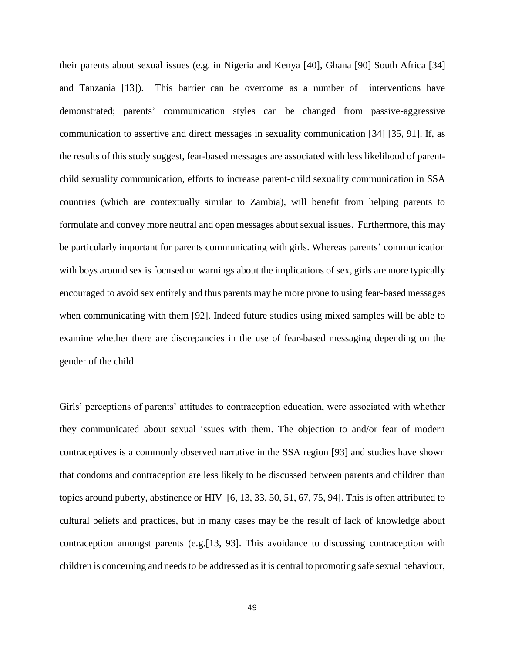their parents about sexual issues (e.g. in Nigeria and Kenya [40], Ghana [90] South Africa [34] and Tanzania [13]). This barrier can be overcome as a number of interventions have demonstrated; parents' communication styles can be changed from passive-aggressive communication to assertive and direct messages in sexuality communication [34] [35, 91]. If, as the results of this study suggest, fear-based messages are associated with less likelihood of parentchild sexuality communication, efforts to increase parent-child sexuality communication in SSA countries (which are contextually similar to Zambia), will benefit from helping parents to formulate and convey more neutral and open messages about sexual issues. Furthermore, this may be particularly important for parents communicating with girls. Whereas parents' communication with boys around sex is focused on warnings about the implications of sex, girls are more typically encouraged to avoid sex entirely and thus parents may be more prone to using fear-based messages when communicating with them [92]. Indeed future studies using mixed samples will be able to examine whether there are discrepancies in the use of fear-based messaging depending on the gender of the child.

Girls' perceptions of parents' attitudes to contraception education, were associated with whether they communicated about sexual issues with them. The objection to and/or fear of modern contraceptives is a commonly observed narrative in the SSA region [93] and studies have shown that condoms and contraception are less likely to be discussed between parents and children than topics around puberty, abstinence or HIV [6, 13, 33, 50, 51, 67, 75, 94]. This is often attributed to cultural beliefs and practices, but in many cases may be the result of lack of knowledge about contraception amongst parents (e.g.[13, 93]. This avoidance to discussing contraception with children is concerning and needs to be addressed as it is central to promoting safe sexual behaviour,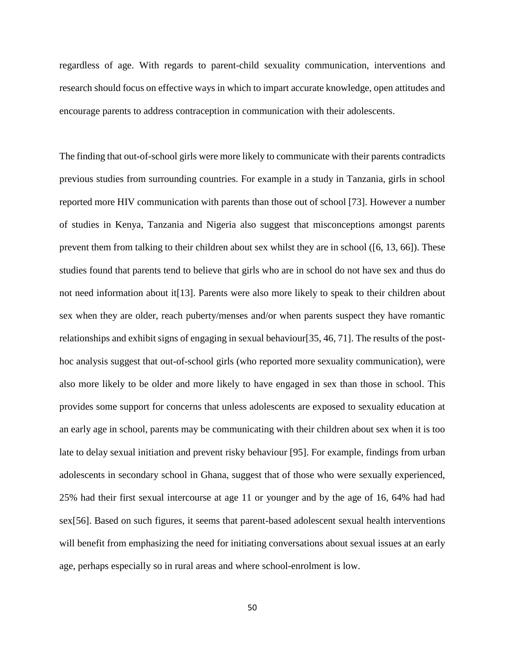regardless of age. With regards to parent-child sexuality communication, interventions and research should focus on effective ways in which to impart accurate knowledge, open attitudes and encourage parents to address contraception in communication with their adolescents.

The finding that out-of-school girls were more likely to communicate with their parents contradicts previous studies from surrounding countries. For example in a study in Tanzania, girls in school reported more HIV communication with parents than those out of school [73]. However a number of studies in Kenya, Tanzania and Nigeria also suggest that misconceptions amongst parents prevent them from talking to their children about sex whilst they are in school ([6, 13, 66]). These studies found that parents tend to believe that girls who are in school do not have sex and thus do not need information about it[13]. Parents were also more likely to speak to their children about sex when they are older, reach puberty/menses and/or when parents suspect they have romantic relationships and exhibit signs of engaging in sexual behaviour[35, 46, 71]. The results of the posthoc analysis suggest that out-of-school girls (who reported more sexuality communication), were also more likely to be older and more likely to have engaged in sex than those in school. This provides some support for concerns that unless adolescents are exposed to sexuality education at an early age in school, parents may be communicating with their children about sex when it is too late to delay sexual initiation and prevent risky behaviour [95]. For example, findings from urban adolescents in secondary school in Ghana, suggest that of those who were sexually experienced, 25% had their first sexual intercourse at age 11 or younger and by the age of 16, 64% had had sex[56]. Based on such figures, it seems that parent-based adolescent sexual health interventions will benefit from emphasizing the need for initiating conversations about sexual issues at an early age, perhaps especially so in rural areas and where school-enrolment is low.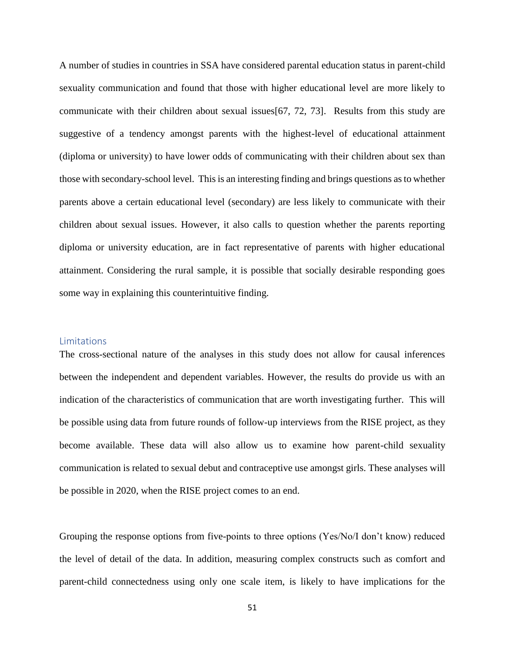A number of studies in countries in SSA have considered parental education status in parent-child sexuality communication and found that those with higher educational level are more likely to communicate with their children about sexual issues[67, 72, 73]. Results from this study are suggestive of a tendency amongst parents with the highest-level of educational attainment (diploma or university) to have lower odds of communicating with their children about sex than those with secondary-school level. This is an interesting finding and brings questions as to whether parents above a certain educational level (secondary) are less likely to communicate with their children about sexual issues. However, it also calls to question whether the parents reporting diploma or university education, are in fact representative of parents with higher educational attainment. Considering the rural sample, it is possible that socially desirable responding goes some way in explaining this counterintuitive finding.

#### Limitations

The cross-sectional nature of the analyses in this study does not allow for causal inferences between the independent and dependent variables. However, the results do provide us with an indication of the characteristics of communication that are worth investigating further. This will be possible using data from future rounds of follow-up interviews from the RISE project, as they become available. These data will also allow us to examine how parent-child sexuality communication is related to sexual debut and contraceptive use amongst girls. These analyses will be possible in 2020, when the RISE project comes to an end.

Grouping the response options from five-points to three options (Yes/No/I don't know) reduced the level of detail of the data. In addition, measuring complex constructs such as comfort and parent-child connectedness using only one scale item, is likely to have implications for the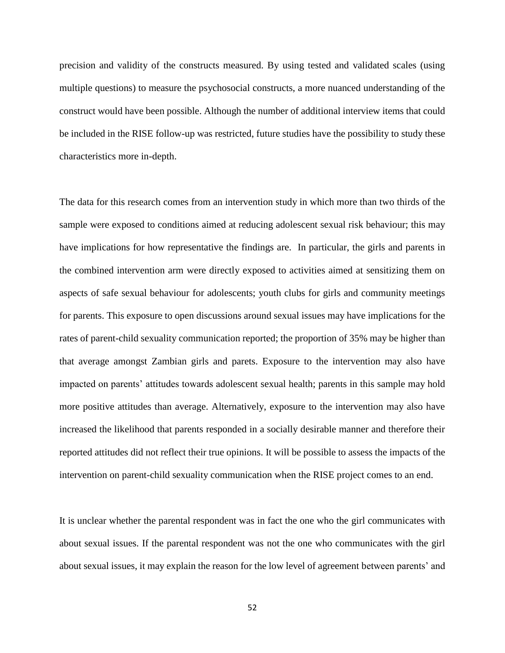precision and validity of the constructs measured. By using tested and validated scales (using multiple questions) to measure the psychosocial constructs, a more nuanced understanding of the construct would have been possible. Although the number of additional interview items that could be included in the RISE follow-up was restricted, future studies have the possibility to study these characteristics more in-depth.

The data for this research comes from an intervention study in which more than two thirds of the sample were exposed to conditions aimed at reducing adolescent sexual risk behaviour; this may have implications for how representative the findings are. In particular, the girls and parents in the combined intervention arm were directly exposed to activities aimed at sensitizing them on aspects of safe sexual behaviour for adolescents; youth clubs for girls and community meetings for parents. This exposure to open discussions around sexual issues may have implications for the rates of parent-child sexuality communication reported; the proportion of 35% may be higher than that average amongst Zambian girls and parets. Exposure to the intervention may also have impacted on parents' attitudes towards adolescent sexual health; parents in this sample may hold more positive attitudes than average. Alternatively, exposure to the intervention may also have increased the likelihood that parents responded in a socially desirable manner and therefore their reported attitudes did not reflect their true opinions. It will be possible to assess the impacts of the intervention on parent-child sexuality communication when the RISE project comes to an end.

It is unclear whether the parental respondent was in fact the one who the girl communicates with about sexual issues. If the parental respondent was not the one who communicates with the girl about sexual issues, it may explain the reason for the low level of agreement between parents' and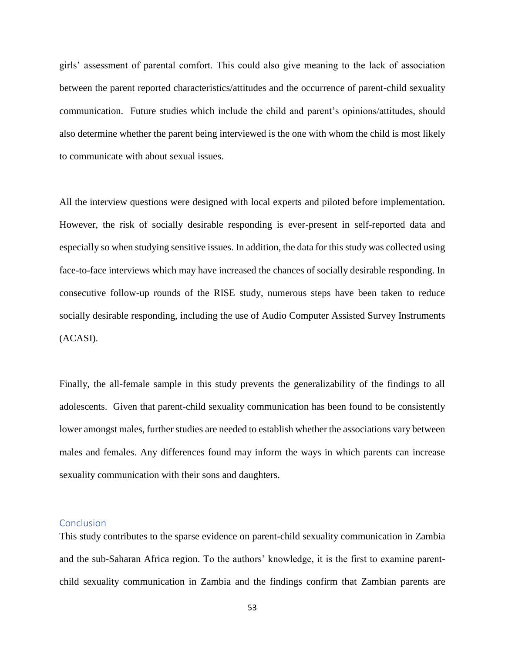girls' assessment of parental comfort. This could also give meaning to the lack of association between the parent reported characteristics/attitudes and the occurrence of parent-child sexuality communication. Future studies which include the child and parent's opinions/attitudes, should also determine whether the parent being interviewed is the one with whom the child is most likely to communicate with about sexual issues.

All the interview questions were designed with local experts and piloted before implementation. However, the risk of socially desirable responding is ever-present in self-reported data and especially so when studying sensitive issues. In addition, the data for this study was collected using face-to-face interviews which may have increased the chances of socially desirable responding. In consecutive follow-up rounds of the RISE study, numerous steps have been taken to reduce socially desirable responding, including the use of Audio Computer Assisted Survey Instruments (ACASI).

Finally, the all-female sample in this study prevents the generalizability of the findings to all adolescents. Given that parent-child sexuality communication has been found to be consistently lower amongst males, further studies are needed to establish whether the associations vary between males and females. Any differences found may inform the ways in which parents can increase sexuality communication with their sons and daughters.

## Conclusion

This study contributes to the sparse evidence on parent-child sexuality communication in Zambia and the sub-Saharan Africa region. To the authors' knowledge, it is the first to examine parentchild sexuality communication in Zambia and the findings confirm that Zambian parents are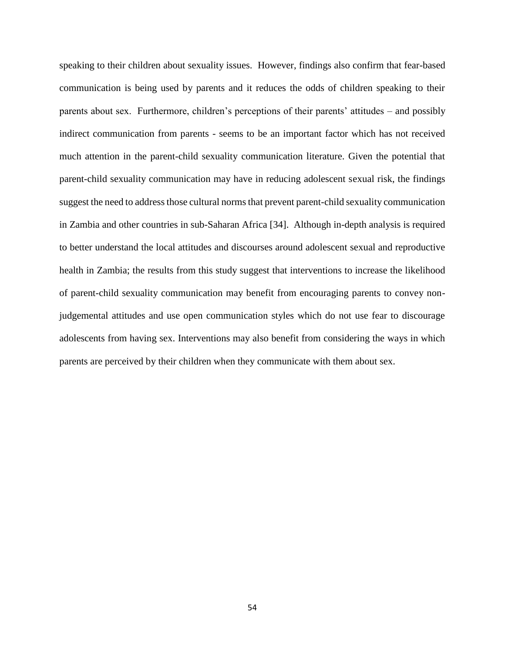speaking to their children about sexuality issues. However, findings also confirm that fear-based communication is being used by parents and it reduces the odds of children speaking to their parents about sex. Furthermore, children's perceptions of their parents' attitudes – and possibly indirect communication from parents - seems to be an important factor which has not received much attention in the parent-child sexuality communication literature. Given the potential that parent-child sexuality communication may have in reducing adolescent sexual risk, the findings suggest the need to address those cultural norms that prevent parent-child sexuality communication in Zambia and other countries in sub-Saharan Africa [34]. Although in-depth analysis is required to better understand the local attitudes and discourses around adolescent sexual and reproductive health in Zambia; the results from this study suggest that interventions to increase the likelihood of parent-child sexuality communication may benefit from encouraging parents to convey nonjudgemental attitudes and use open communication styles which do not use fear to discourage adolescents from having sex. Interventions may also benefit from considering the ways in which parents are perceived by their children when they communicate with them about sex.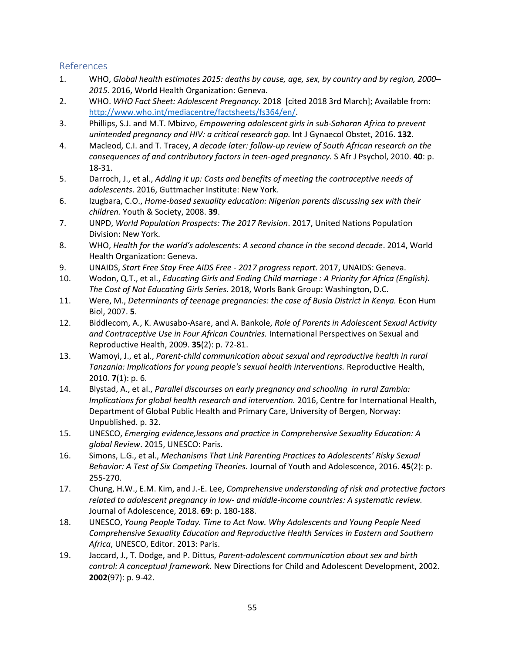# References

- 1. WHO, *Global health estimates 2015: deaths by cause, age, sex, by country and by region, 2000– 2015*. 2016, World Health Organization: Geneva.
- 2. WHO. *WHO Fact Sheet: Adolescent Pregnancy*. 2018 [cited 2018 3rd March]; Available from: [http://www.who.int/mediacentre/factsheets/fs364/en/.](http://www.who.int/mediacentre/factsheets/fs364/en/)
- 3. Phillips, S.J. and M.T. Mbizvo, *Empowering adolescent girls in sub-Saharan Africa to prevent unintended pregnancy and HIV: a critical research gap.* Int J Gynaecol Obstet, 2016. **132**.
- 4. Macleod, C.I. and T. Tracey, *A decade later: follow-up review of South African research on the consequences of and contributory factors in teen-aged pregnancy.* S Afr J Psychol, 2010. **40**: p. 18-31.
- 5. Darroch, J., et al., *Adding it up: Costs and benefits of meeting the contraceptive needs of adolescents*. 2016, Guttmacher Institute: New York.
- 6. Izugbara, C.O., *Home-based sexuality education: Nigerian parents discussing sex with their children.* Youth & Society, 2008. **39**.
- 7. UNPD, *World Population Prospects: The 2017 Revision*. 2017, United Nations Population Division: New York.
- 8. WHO, *Health for the world's adolescents: A second chance in the second decade*. 2014, World Health Organization: Geneva.
- 9. UNAIDS, *Start Free Stay Free AIDS Free - 2017 progress report*. 2017, UNAIDS: Geneva.
- 10. Wodon, Q.T., et al., *Educating Girls and Ending Child marriage : A Priority for Africa (English). The Cost of Not Educating Girls Series*. 2018, Worls Bank Group: Washington, D.C.
- 11. Were, M., *Determinants of teenage pregnancies: the case of Busia District in Kenya.* Econ Hum Biol, 2007. **5**.
- 12. Biddlecom, A., K. Awusabo-Asare, and A. Bankole, *Role of Parents in Adolescent Sexual Activity and Contraceptive Use in Four African Countries.* International Perspectives on Sexual and Reproductive Health, 2009. **35**(2): p. 72-81.
- 13. Wamoyi, J., et al., *Parent-child communication about sexual and reproductive health in rural Tanzania: Implications for young people's sexual health interventions.* Reproductive Health, 2010. **7**(1): p. 6.
- 14. Blystad, A., et al., *Parallel discourses on early pregnancy and schooling in rural Zambia: Implications for global health research and intervention.* 2016, Centre for International Health, Department of Global Public Health and Primary Care, University of Bergen, Norway: Unpublished. p. 32.
- 15. UNESCO, *Emerging evidence,lessons and practice in Comprehensive Sexuality Education: A global Review*. 2015, UNESCO: Paris.
- 16. Simons, L.G., et al., *Mechanisms That Link Parenting Practices to Adolescents' Risky Sexual Behavior: A Test of Six Competing Theories.* Journal of Youth and Adolescence, 2016. **45**(2): p. 255-270.
- 17. Chung, H.W., E.M. Kim, and J.-E. Lee, *Comprehensive understanding of risk and protective factors related to adolescent pregnancy in low- and middle-income countries: A systematic review.* Journal of Adolescence, 2018. **69**: p. 180-188.
- 18. UNESCO, *Young People Today. Time to Act Now. Why Adolescents and Young People Need Comprehensive Sexuality Education and Reproductive Health Services in Eastern and Southern Africa*, UNESCO, Editor. 2013: Paris.
- 19. Jaccard, J., T. Dodge, and P. Dittus, *Parent-adolescent communication about sex and birth control: A conceptual framework.* New Directions for Child and Adolescent Development, 2002. **2002**(97): p. 9-42.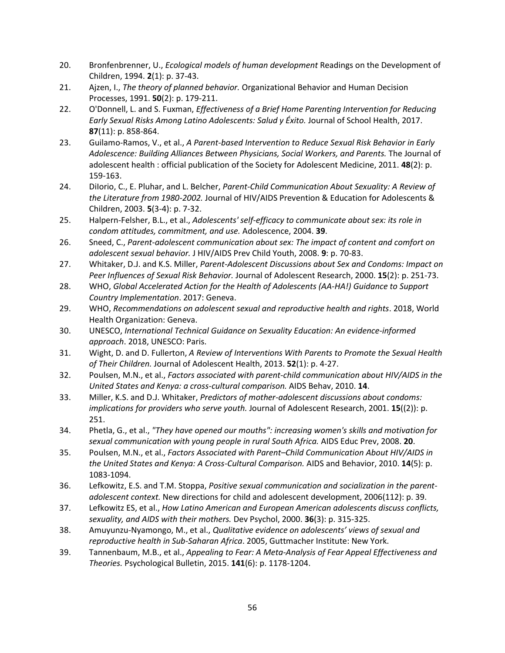- 20. Bronfenbrenner, U., *Ecological models of human development* Readings on the Development of Children, 1994. **2**(1): p. 37-43.
- 21. Ajzen, I., *The theory of planned behavior.* Organizational Behavior and Human Decision Processes, 1991. **50**(2): p. 179-211.
- 22. O'Donnell, L. and S. Fuxman, *Effectiveness of a Brief Home Parenting Intervention for Reducing Early Sexual Risks Among Latino Adolescents: Salud y Éxito.* Journal of School Health, 2017. **87**(11): p. 858-864.
- 23. Guilamo-Ramos, V., et al., *A Parent-based Intervention to Reduce Sexual Risk Behavior in Early Adolescence: Building Alliances Between Physicians, Social Workers, and Parents.* The Journal of adolescent health : official publication of the Society for Adolescent Medicine, 2011. **48**(2): p. 159-163.
- 24. DiIorio, C., E. Pluhar, and L. Belcher, *Parent-Child Communication About Sexuality: A Review of the Literature from 1980-2002.* Journal of HIV/AIDS Prevention & Education for Adolescents & Children, 2003. **5**(3-4): p. 7-32.
- 25. Halpern-Felsher, B.L., et al., *Adolescents' self-efficacy to communicate about sex: its role in condom attitudes, commitment, and use.* Adolescence, 2004. **39**.
- 26. Sneed, C., *Parent-adolescent communication about sex: The impact of content and comfort on adolescent sexual behavior.* J HIV/AIDS Prev Child Youth, 2008. **9**: p. 70-83.
- 27. Whitaker, D.J. and K.S. Miller, *Parent-Adolescent Discussions about Sex and Condoms: Impact on Peer Influences of Sexual Risk Behavior.* Journal of Adolescent Research, 2000. **15**(2): p. 251-73.
- 28. WHO, *Global Accelerated Action for the Health of Adolescents (AA-HA!) Guidance to Support Country Implementation*. 2017: Geneva.
- 29. WHO, *Recommendations on adolescent sexual and reproductive health and rights*. 2018, World Health Organization: Geneva.
- 30. UNESCO, *International Technical Guidance on Sexuality Education: An evidence-informed approach*. 2018, UNESCO: Paris.
- 31. Wight, D. and D. Fullerton, *A Review of Interventions With Parents to Promote the Sexual Health of Their Children.* Journal of Adolescent Health, 2013. **52**(1): p. 4-27.
- 32. Poulsen, M.N., et al., *Factors associated with parent-child communication about HIV/AIDS in the United States and Kenya: a cross-cultural comparison.* AIDS Behav, 2010. **14**.
- 33. Miller, K.S. and D.J. Whitaker, *Predictors of mother-adolescent discussions about condoms: implications for providers who serve youth.* Journal of Adolescent Research, 2001. **15**((2)): p. 251.
- 34. Phetla, G., et al., *"They have opened our mouths": increasing women's skills and motivation for sexual communication with young people in rural South Africa.* AIDS Educ Prev, 2008. **20**.
- 35. Poulsen, M.N., et al., *Factors Associated with Parent–Child Communication About HIV/AIDS in the United States and Kenya: A Cross-Cultural Comparison.* AIDS and Behavior, 2010. **14**(5): p. 1083-1094.
- 36. Lefkowitz, E.S. and T.M. Stoppa, *Positive sexual communication and socialization in the parentadolescent context.* New directions for child and adolescent development, 2006(112): p. 39.
- 37. Lefkowitz ES, et al., *How Latino American and European American adolescents discuss conflicts, sexuality, and AIDS with their mothers.* Dev Psychol, 2000. **36**(3): p. 315-325.
- 38. Amuyunzu-Nyamongo, M., et al., *Qualitative evidence on adolescents' views of sexual and reproductive health in Sub-Saharan Africa*. 2005, Guttmacher Institute: New York.
- 39. Tannenbaum, M.B., et al., *Appealing to Fear: A Meta-Analysis of Fear Appeal Effectiveness and Theories.* Psychological Bulletin, 2015. **141**(6): p. 1178-1204.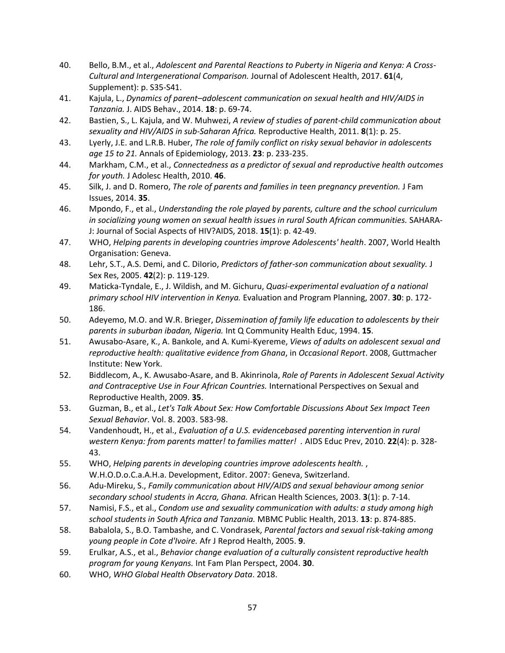- 40. Bello, B.M., et al., *Adolescent and Parental Reactions to Puberty in Nigeria and Kenya: A Cross-Cultural and Intergenerational Comparison.* Journal of Adolescent Health, 2017. **61**(4, Supplement): p. S35-S41.
- 41. Kajula, L., *Dynamics of parent–adolescent communication on sexual health and HIV/AIDS in Tanzania.* J. AIDS Behav., 2014. **18**: p. 69-74.
- 42. Bastien, S., L. Kajula, and W. Muhwezi, *A review of studies of parent-child communication about sexuality and HIV/AIDS in sub-Saharan Africa.* Reproductive Health, 2011. **8**(1): p. 25.
- 43. Lyerly, J.E. and L.R.B. Huber, *The role of family conflict on risky sexual behavior in adolescents age 15 to 21.* Annals of Epidemiology, 2013. **23**: p. 233-235.
- 44. Markham, C.M., et al., *Connectedness as a predictor of sexual and reproductive health outcomes for youth.* J Adolesc Health, 2010. **46**.
- 45. Silk, J. and D. Romero, *The role of parents and families in teen pregnancy prevention.* J Fam Issues, 2014. **35**.
- 46. Mpondo, F., et al., *Understanding the role played by parents, culture and the school curriculum in socializing young women on sexual health issues in rural South African communities.* SAHARA-J: Journal of Social Aspects of HIV?AIDS, 2018. **15**(1): p. 42-49.
- 47. WHO, *Helping parents in developing countries improve Adolescents' health*. 2007, World Health Organisation: Geneva.
- 48. Lehr, S.T., A.S. Demi, and C. DiIorio, *Predictors of father-son communication about sexuality.* J Sex Res, 2005. **42**(2): p. 119-129.
- 49. Maticka-Tyndale, E., J. Wildish, and M. Gichuru, *Quasi-experimental evaluation of a national primary school HIV intervention in Kenya.* Evaluation and Program Planning, 2007. **30**: p. 172- 186.
- 50. Adeyemo, M.O. and W.R. Brieger, *Dissemination of family life education to adolescents by their parents in suburban ibadan, Nigeria.* Int Q Community Health Educ, 1994. **15**.
- 51. Awusabo-Asare, K., A. Bankole, and A. Kumi-Kyereme, *Views of adults on adolescent sexual and reproductive health: qualitative evidence from Ghana*, in *Occasional Report*. 2008, Guttmacher Institute: New York.
- 52. Biddlecom, A., K. Awusabo-Asare, and B. Akinrinola, *Role of Parents in Adolescent Sexual Activity and Contraceptive Use in Four African Countries.* International Perspectives on Sexual and Reproductive Health, 2009. **35**.
- 53. Guzman, B., et al., *Let's Talk About Sex: How Comfortable Discussions About Sex Impact Teen Sexual Behavior*. Vol. 8. 2003. 583-98.
- 54. Vandenhoudt, H., et al., *Evaluation of a U.S. evidencebased parenting intervention in rural western Kenya: from parents matter! to families matter! .* AIDS Educ Prev, 2010. **22**(4): p. 328- 43.
- 55. WHO, *Helping parents in developing countries improve adolescents health.* , W.H.O.D.o.C.a.A.H.a. Development, Editor. 2007: Geneva, Switzerland.
- 56. Adu-Mireku, S., *Family communication about HIV/AIDS and sexual behaviour among senior secondary school students in Accra, Ghana.* African Health Sciences, 2003. **3**(1): p. 7-14.
- 57. Namisi, F.S., et al., *Condom use and sexuality communication with adults: a study among high school students in South Africa and Tanzania.* MBMC Public Health, 2013. **13**: p. 874-885.
- 58. Babalola, S., B.O. Tambashe, and C. Vondrasek, *Parental factors and sexual risk-taking among young people in Cote d'Ivoire.* Afr J Reprod Health, 2005. **9**.
- 59. Erulkar, A.S., et al., *Behavior change evaluation of a culturally consistent reproductive health program for young Kenyans.* Int Fam Plan Perspect, 2004. **30**.
- 60. WHO, *WHO Global Health Observatory Data*. 2018.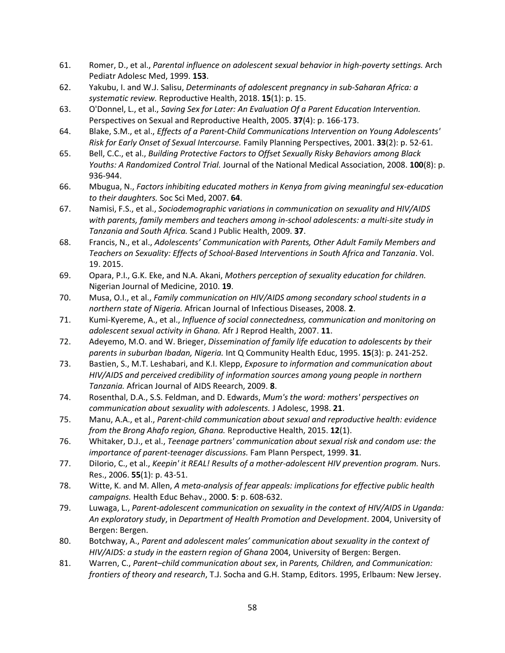- 61. Romer, D., et al., *Parental influence on adolescent sexual behavior in high-poverty settings.* Arch Pediatr Adolesc Med, 1999. **153**.
- 62. Yakubu, I. and W.J. Salisu, *Determinants of adolescent pregnancy in sub-Saharan Africa: a systematic review.* Reproductive Health, 2018. **15**(1): p. 15.
- 63. O'Donnel, L., et al., *Saving Sex for Later: An Evaluation Of a Parent Education Intervention.* Perspectives on Sexual and Reproductive Health, 2005. **37**(4): p. 166-173.
- 64. Blake, S.M., et al., *Effects of a Parent-Child Communications Intervention on Young Adolescents' Risk for Early Onset of Sexual Intercourse.* Family Planning Perspectives, 2001. **33**(2): p. 52-61.
- 65. Bell, C.C., et al., *Building Protective Factors to Offset Sexually Risky Behaviors among Black Youths: A Randomized Control Trial.* Journal of the National Medical Association, 2008. **100**(8): p. 936-944.
- 66. Mbugua, N., *Factors inhibiting educated mothers in Kenya from giving meaningful sex-education to their daughters.* Soc Sci Med, 2007. **64**.
- 67. Namisi, F.S., et al., *Sociodemographic variations in communication on sexuality and HIV/AIDS with parents, family members and teachers among in-school adolescents: a multi-site study in Tanzania and South Africa.* Scand J Public Health, 2009. **37**.
- 68. Francis, N., et al., *Adolescents' Communication with Parents, Other Adult Family Members and Teachers on Sexuality: Effects of School-Based Interventions in South Africa and Tanzania*. Vol. 19. 2015.
- 69. Opara, P.I., G.K. Eke, and N.A. Akani, *Mothers perception of sexuality education for children.* Nigerian Journal of Medicine, 2010. **19**.
- 70. Musa, O.I., et al., *Family communication on HIV/AIDS among secondary school students in a northern state of Nigeria.* African Journal of Infectious Diseases, 2008. **2**.
- 71. Kumi-Kyereme, A., et al., *Influence of social connectedness, communication and monitoring on adolescent sexual activity in Ghana.* Afr J Reprod Health, 2007. **11**.
- 72. Adeyemo, M.O. and W. Brieger, *Dissemination of family life education to adolescents by their parents in suburban Ibadan, Nigeria.* Int Q Community Health Educ, 1995. **15**(3): p. 241-252.
- 73. Bastien, S., M.T. Leshabari, and K.I. Klepp, *Exposure to information and communication about HIV/AIDS and perceived credibility of information sources among young people in northern Tanzania.* African Journal of AIDS Reearch, 2009. **8**.
- 74. Rosenthal, D.A., S.S. Feldman, and D. Edwards, *Mum's the word: mothers' perspectives on communication about sexuality with adolescents.* J Adolesc, 1998. **21**.
- 75. Manu, A.A., et al., *Parent-child communication about sexual and reproductive health: evidence from the Brong Ahafo region, Ghana.* Reproductive Health, 2015. **12**(1).
- 76. Whitaker, D.J., et al., *Teenage partners' communication about sexual risk and condom use: the importance of parent-teenager discussions.* Fam Plann Perspect, 1999. **31**.
- 77. DiIorio, C., et al., *Keepin' it REAL! Results of a mother-adolescent HIV prevention program.* Nurs. Res., 2006. **55**(1): p. 43-51.
- 78. Witte, K. and M. Allen, *A meta-analysis of fear appeals: implications for effective public health campaigns.* Health Educ Behav., 2000. **5**: p. 608-632.
- 79. Luwaga, L., *Parent-adolescent communication on sexuality in the context of HIV/AIDS in Uganda: An exploratory study*, in *Department of Health Promotion and Development*. 2004, University of Bergen: Bergen.
- 80. Botchway, A., *Parent and adolescent males' communication about sexuality in the context of HIV/AIDS: a study in the eastern region of Ghana* 2004, University of Bergen: Bergen.
- 81. Warren, C., *Parent–child communication about sex*, in *Parents, Children, and Communication: frontiers of theory and research*, T.J. Socha and G.H. Stamp, Editors. 1995, Erlbaum: New Jersey.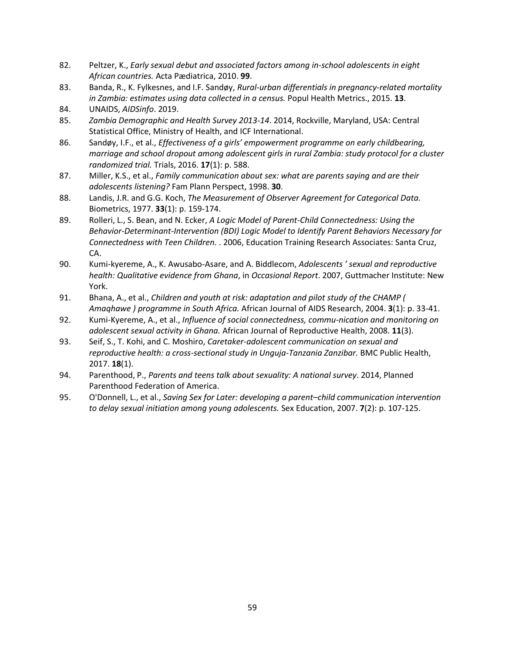- 82. Peltzer, K., *Early sexual debut and associated factors among in-school adolescents in eight African countries.* Acta Pædiatrica, 2010. **99**.
- 83. Banda, R., K. Fylkesnes, and I.F. Sandøy, *Rural-urban differentials in pregnancy-related mortality in Zambia: estimates using data collected in a census.* Popul Health Metrics., 2015. **13**.
- 84. UNAIDS, *AIDSinfo*. 2019.
- 85. *Zambia Demographic and Health Survey 2013-14*. 2014, Rockville, Maryland, USA: Central Statistical Office, Ministry of Health, and ICF International.
- 86. Sandøy, I.F., et al., *Effectiveness of a girls' empowerment programme on early childbearing, marriage and school dropout among adolescent girls in rural Zambia: study protocol for a cluster randomized trial.* Trials, 2016. **17**(1): p. 588.
- 87. Miller, K.S., et al., *Family communication about sex: what are parents saying and are their adolescents listening?* Fam Plann Perspect, 1998. **30**.
- 88. Landis, J.R. and G.G. Koch, *The Measurement of Observer Agreement for Categorical Data.* Biometrics, 1977. **33**(1): p. 159-174.
- 89. Rolleri, L., S. Bean, and N. Ecker, *A Logic Model of Parent-Child Connectedness: Using the Behavior-Determinant-Intervention (BDI) Logic Model to Identify Parent Behaviors Necessary for Connectedness with Teen Children.* . 2006, Education Training Research Associates: Santa Cruz, CA.
- 90. Kumi-kyereme, A., K. Awusabo-Asare, and A. Biddlecom, *Adolescents ' sexual and reproductive health: Qualitative evidence from Ghana*, in *Occasional Report*. 2007, Guttmacher Institute: New York.
- 91. Bhana, A., et al., *Children and youth at risk: adaptation and pilot study of the CHAMP ( Amaqhawe ) programme in South Africa.* African Journal of AIDS Research, 2004. **3**(1): p. 33-41.
- 92. Kumi-Kyereme, A., et al., *Influence of social connectedness, commu-nication and monitoring on adolescent sexual activity in Ghana.* African Journal of Reproductive Health, 2008. **11**(3).
- 93. Seif, S., T. Kohi, and C. Moshiro, *Caretaker-adolescent communication on sexual and reproductive health: a cross-sectional study in Unguja-Tanzania Zanzibar.* BMC Public Health, 2017. **18**(1).
- 94. Parenthood, P., *Parents and teens talk about sexuality: A national survey*. 2014, Planned Parenthood Federation of America.
- 95. O'Donnell, L., et al., *Saving Sex for Later: developing a parent–child communication intervention to delay sexual initiation among young adolescents.* Sex Education, 2007. **7**(2): p. 107-125.